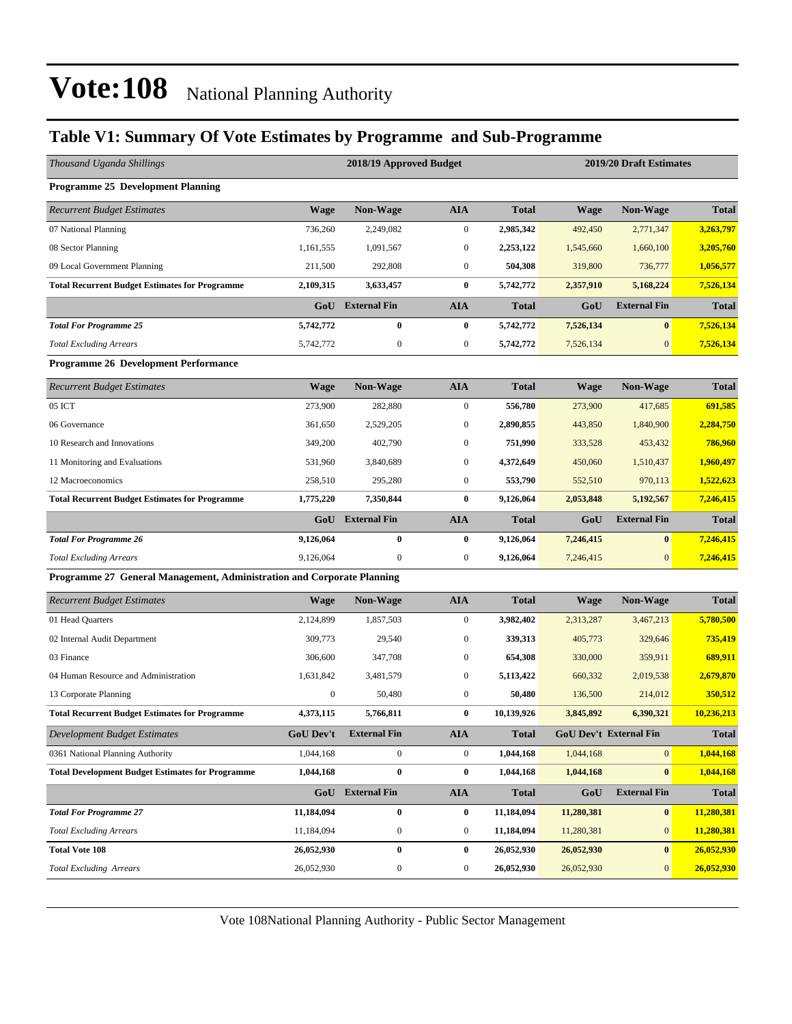### **Table V1: Summary Of Vote Estimates by Programme and Sub-Programme**

| Thousand Uganda Shillings                                              |                  | 2018/19 Approved Budget |                  |              | 2019/20 Draft Estimates |                        |              |
|------------------------------------------------------------------------|------------------|-------------------------|------------------|--------------|-------------------------|------------------------|--------------|
| <b>Programme 25 Development Planning</b>                               |                  |                         |                  |              |                         |                        |              |
| <b>Recurrent Budget Estimates</b>                                      | <b>Wage</b>      | Non-Wage                | <b>AIA</b>       | <b>Total</b> | <b>Wage</b>             | Non-Wage               | <b>Total</b> |
| 07 National Planning                                                   | 736,260          | 2,249,082               | $\boldsymbol{0}$ | 2,985,342    | 492,450                 | 2,771,347              | 3,263,797    |
| 08 Sector Planning                                                     | 1,161,555        | 1,091,567               | $\boldsymbol{0}$ | 2,253,122    | 1,545,660               | 1,660,100              | 3,205,760    |
| 09 Local Government Planning                                           | 211,500          | 292,808                 | $\boldsymbol{0}$ | 504,308      | 319,800                 | 736,777                | 1,056,577    |
| <b>Total Recurrent Budget Estimates for Programme</b>                  | 2,109,315        | 3,633,457               | $\bf{0}$         | 5,742,772    | 2,357,910               | 5,168,224              | 7,526,134    |
|                                                                        | GoU              | <b>External Fin</b>     | <b>AIA</b>       | <b>Total</b> | GoU                     | <b>External Fin</b>    | <b>Total</b> |
| <b>Total For Programme 25</b>                                          | 5,742,772        | $\bf{0}$                | $\bf{0}$         | 5,742,772    | 7,526,134               | $\bf{0}$               | 7,526,134    |
| <b>Total Excluding Arrears</b>                                         | 5,742,772        | $\boldsymbol{0}$        | $\boldsymbol{0}$ | 5,742,772    | 7,526,134               | $\mathbf{0}$           | 7,526,134    |
| Programme 26 Development Performance                                   |                  |                         |                  |              |                         |                        |              |
| <b>Recurrent Budget Estimates</b>                                      | <b>Wage</b>      | Non-Wage                | <b>AIA</b>       | <b>Total</b> | <b>Wage</b>             | <b>Non-Wage</b>        | <b>Total</b> |
| 05 ICT                                                                 | 273,900          | 282,880                 | $\boldsymbol{0}$ | 556,780      | 273,900                 | 417,685                | 691,585      |
| 06 Governance                                                          | 361,650          | 2,529,205               | $\boldsymbol{0}$ | 2,890,855    | 443,850                 | 1,840,900              | 2,284,750    |
| 10 Research and Innovations                                            | 349,200          | 402,790                 | $\boldsymbol{0}$ | 751,990      | 333,528                 | 453,432                | 786,960      |
| 11 Monitoring and Evaluations                                          | 531,960          | 3,840,689               | $\boldsymbol{0}$ | 4,372,649    | 450,060                 | 1,510,437              | 1,960,497    |
| 12 Macroeconomics                                                      | 258,510          | 295,280                 | $\boldsymbol{0}$ | 553,790      | 552,510                 | 970,113                | 1,522,623    |
| <b>Total Recurrent Budget Estimates for Programme</b>                  | 1,775,220        | 7,350,844               | $\bf{0}$         | 9,126,064    | 2,053,848               | 5,192,567              | 7,246,415    |
|                                                                        | GoU              | <b>External Fin</b>     | <b>AIA</b>       | <b>Total</b> | GoU                     | <b>External Fin</b>    | <b>Total</b> |
| <b>Total For Programme 26</b>                                          | 9,126,064        | $\bf{0}$                | $\bf{0}$         | 9,126,064    | 7,246,415               | $\bf{0}$               | 7,246,415    |
| <b>Total Excluding Arrears</b>                                         | 9,126,064        | $\boldsymbol{0}$        | $\boldsymbol{0}$ | 9,126,064    | 7,246,415               | $\mathbf{0}$           | 7,246,415    |
| Programme 27 General Management, Administration and Corporate Planning |                  |                         |                  |              |                         |                        |              |
| <b>Recurrent Budget Estimates</b>                                      | <b>Wage</b>      | Non-Wage                | <b>AIA</b>       | <b>Total</b> | Wage                    | <b>Non-Wage</b>        | <b>Total</b> |
| 01 Head Quarters                                                       | 2,124,899        | 1,857,503               | $\mathbf{0}$     | 3,982,402    | 2,313,287               | 3,467,213              | 5,780,500    |
| 02 Internal Audit Department                                           | 309,773          | 29,540                  | $\boldsymbol{0}$ | 339,313      | 405,773                 | 329,646                | 735,419      |
| 03 Finance                                                             | 306,600          | 347,708                 | $\boldsymbol{0}$ | 654,308      | 330,000                 | 359,911                | 689,911      |
| 04 Human Resource and Administration                                   | 1,631,842        | 3,481,579               | $\boldsymbol{0}$ | 5,113,422    | 660,332                 | 2,019,538              | 2,679,870    |
| 13 Corporate Planning                                                  | $\boldsymbol{0}$ | 50,480                  | $\boldsymbol{0}$ | 50,480       | 136,500                 | 214,012                | 350,512      |
| <b>Total Recurrent Budget Estimates for Programme</b>                  | 4,373,115        | 5,766,811               | $\bf{0}$         | 10,139,926   | 3,845,892               | 6,390,321              | 10,236,213   |
| Development Budget Estimates                                           | <b>GoU Dev't</b> | <b>External Fin</b>     | AIA              | Total        |                         | GoU Dev't External Fin | Total        |
| 0361 National Planning Authority                                       | 1,044,168        | $\mathbf{0}$            | $\boldsymbol{0}$ | 1,044,168    | 1,044,168               | $\mathbf{0}$           | 1,044,168    |
| <b>Total Development Budget Estimates for Programme</b>                | 1,044,168        | $\boldsymbol{0}$        | $\bf{0}$         | 1,044,168    | 1,044,168               | $\bf{0}$               | 1,044,168    |
|                                                                        |                  | GoU External Fin        | <b>AIA</b>       | <b>Total</b> | GoU                     | <b>External Fin</b>    | <b>Total</b> |
| <b>Total For Programme 27</b>                                          | 11,184,094       | $\pmb{0}$               | $\bf{0}$         | 11,184,094   | 11,280,381              | $\bf{0}$               | 11,280,381   |
| <b>Total Excluding Arrears</b>                                         | 11,184,094       | $\boldsymbol{0}$        | $\boldsymbol{0}$ | 11,184,094   | 11,280,381              | $\boldsymbol{0}$       | 11,280,381   |
| <b>Total Vote 108</b>                                                  | 26,052,930       | $\pmb{0}$               | $\bf{0}$         | 26,052,930   | 26,052,930              | $\bf{0}$               | 26,052,930   |
| <b>Total Excluding Arrears</b>                                         | 26,052,930       | $\boldsymbol{0}$        | $\boldsymbol{0}$ | 26,052,930   | 26,052,930              | $\mathbf{0}$           | 26,052,930   |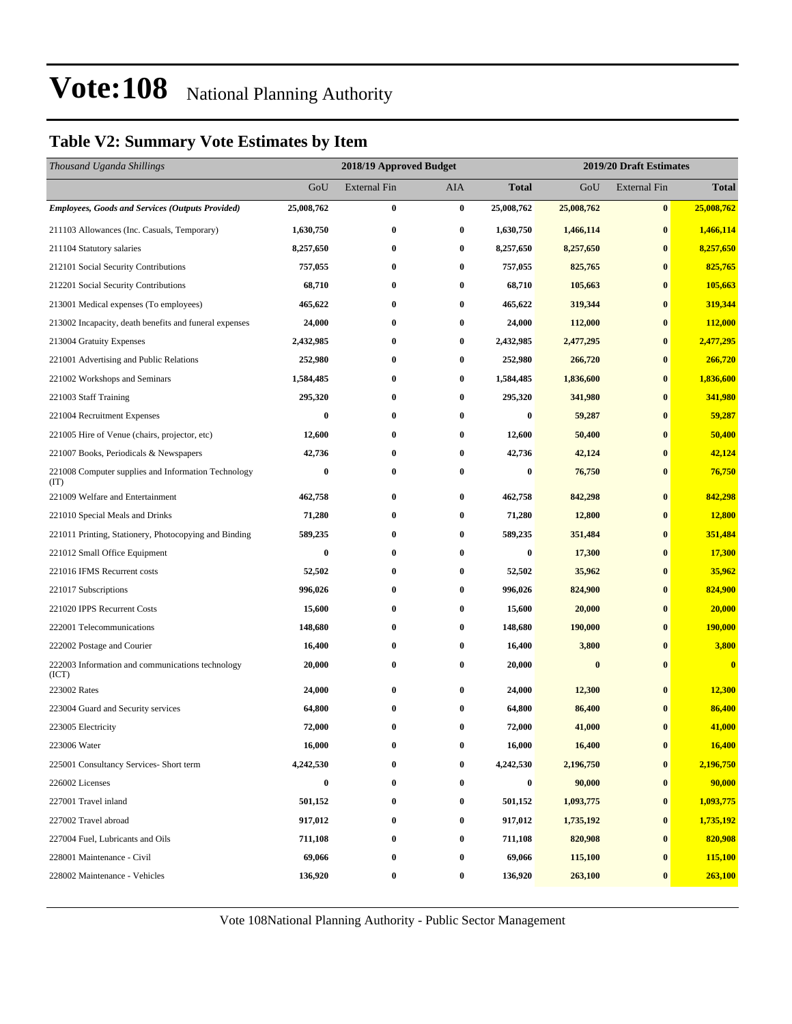### **Table V2: Summary Vote Estimates by Item**

| Thousand Uganda Shillings                                   |            | 2018/19 Approved Budget |                  |              | 2019/20 Draft Estimates |                     |                         |  |  |
|-------------------------------------------------------------|------------|-------------------------|------------------|--------------|-------------------------|---------------------|-------------------------|--|--|
|                                                             | GoU        | <b>External Fin</b>     | AIA              | <b>Total</b> | GoU                     | <b>External Fin</b> | <b>Total</b>            |  |  |
| <b>Employees, Goods and Services (Outputs Provided)</b>     | 25,008,762 | $\bf{0}$                | $\bf{0}$         | 25,008,762   | 25,008,762              | $\bf{0}$            | 25,008,762              |  |  |
| 211103 Allowances (Inc. Casuals, Temporary)                 | 1,630,750  | $\bf{0}$                | $\bf{0}$         | 1,630,750    | 1,466,114               | $\bf{0}$            | 1,466,114               |  |  |
| 211104 Statutory salaries                                   | 8,257,650  | $\bf{0}$                | $\bf{0}$         | 8,257,650    | 8,257,650               | $\bf{0}$            | 8,257,650               |  |  |
| 212101 Social Security Contributions                        | 757,055    | $\bf{0}$                | 0                | 757,055      | 825,765                 | $\bf{0}$            | 825,765                 |  |  |
| 212201 Social Security Contributions                        | 68,710     | $\bf{0}$                | $\bf{0}$         | 68,710       | 105,663                 | $\bf{0}$            | 105,663                 |  |  |
| 213001 Medical expenses (To employees)                      | 465,622    | $\bf{0}$                | $\bf{0}$         | 465,622      | 319,344                 | $\bf{0}$            | 319,344                 |  |  |
| 213002 Incapacity, death benefits and funeral expenses      | 24,000     | $\bf{0}$                | 0                | 24,000       | 112,000                 | $\bf{0}$            | 112,000                 |  |  |
| 213004 Gratuity Expenses                                    | 2,432,985  | $\bf{0}$                | $\bf{0}$         | 2,432,985    | 2,477,295               | $\bf{0}$            | 2,477,295               |  |  |
| 221001 Advertising and Public Relations                     | 252,980    | $\bf{0}$                | $\bf{0}$         | 252,980      | 266,720                 | $\bf{0}$            | 266,720                 |  |  |
| 221002 Workshops and Seminars                               | 1,584,485  | $\bf{0}$                | $\bf{0}$         | 1,584,485    | 1,836,600               | $\bf{0}$            | 1,836,600               |  |  |
| 221003 Staff Training                                       | 295,320    | $\bf{0}$                | $\bf{0}$         | 295,320      | 341,980                 | $\bf{0}$            | 341,980                 |  |  |
| 221004 Recruitment Expenses                                 | $\bf{0}$   | $\bf{0}$                | $\bf{0}$         | 0            | 59,287                  | $\bf{0}$            | 59,287                  |  |  |
| 221005 Hire of Venue (chairs, projector, etc)               | 12,600     | $\bf{0}$                | 0                | 12,600       | 50,400                  | $\bf{0}$            | 50,400                  |  |  |
| 221007 Books, Periodicals & Newspapers                      | 42,736     | $\bf{0}$                | 0                | 42,736       | 42,124                  | $\bf{0}$            | 42,124                  |  |  |
| 221008 Computer supplies and Information Technology<br>(TT) | $\bf{0}$   | $\bf{0}$                | $\bf{0}$         | 0            | 76,750                  | $\bf{0}$            | 76,750                  |  |  |
| 221009 Welfare and Entertainment                            | 462,758    | $\bf{0}$                | $\bf{0}$         | 462,758      | 842,298                 | $\bf{0}$            | 842,298                 |  |  |
| 221010 Special Meals and Drinks                             | 71,280     | $\bf{0}$                | $\bf{0}$         | 71,280       | 12,800                  | $\bf{0}$            | 12,800                  |  |  |
| 221011 Printing, Stationery, Photocopying and Binding       | 589,235    | $\bf{0}$                | $\bf{0}$         | 589,235      | 351,484                 | $\bf{0}$            | 351,484                 |  |  |
| 221012 Small Office Equipment                               | 0          | $\bf{0}$                | $\bf{0}$         | 0            | 17,300                  | $\bf{0}$            | 17,300                  |  |  |
| 221016 IFMS Recurrent costs                                 | 52,502     | $\bf{0}$                | 0                | 52,502       | 35,962                  | $\bf{0}$            | 35,962                  |  |  |
| 221017 Subscriptions                                        | 996,026    | $\bf{0}$                | 0                | 996,026      | 824,900                 | $\bf{0}$            | 824,900                 |  |  |
| 221020 IPPS Recurrent Costs                                 | 15,600     | $\bf{0}$                | 0                | 15,600       | 20,000                  | $\bf{0}$            | 20,000                  |  |  |
| 222001 Telecommunications                                   | 148,680    | $\bf{0}$                | $\bf{0}$         | 148,680      | 190,000                 | $\bf{0}$            | 190,000                 |  |  |
| 222002 Postage and Courier                                  | 16,400     | $\bf{0}$                | $\bf{0}$         | 16,400       | 3,800                   | $\bf{0}$            | 3,800                   |  |  |
| 222003 Information and communications technology<br>(ICT)   | 20,000     | $\bf{0}$                | 0                | 20,000       | $\bf{0}$                | $\bf{0}$            | $\overline{\mathbf{0}}$ |  |  |
| 223002 Rates                                                | 24,000     | $\bf{0}$                | $\bf{0}$         | 24,000       | 12,300                  | $\bf{0}$            | 12,300                  |  |  |
| 223004 Guard and Security services                          | 64,800     | $\bf{0}$                | 0                | 64,800       | 86,400                  | $\bf{0}$            | 86,400                  |  |  |
| 223005 Electricity                                          | 72,000     | $\bf{0}$                | $\bf{0}$         | 72,000       | 41,000                  | $\bf{0}$            | 41,000                  |  |  |
| 223006 Water                                                | 16,000     | $\bf{0}$                | $\bf{0}$         | 16,000       | 16,400                  | $\bf{0}$            | 16,400                  |  |  |
| 225001 Consultancy Services- Short term                     | 4,242,530  | $\bf{0}$                | $\boldsymbol{0}$ | 4,242,530    | 2,196,750               | $\bf{0}$            | 2,196,750               |  |  |
| 226002 Licenses                                             | $\bf{0}$   | $\bf{0}$                | $\boldsymbol{0}$ | $\bf{0}$     | 90,000                  | $\bf{0}$            | 90,000                  |  |  |
| 227001 Travel inland                                        | 501,152    | $\bf{0}$                | $\bf{0}$         | 501,152      | 1,093,775               | $\bf{0}$            | 1,093,775               |  |  |
| 227002 Travel abroad                                        | 917,012    | $\bf{0}$                | $\bf{0}$         | 917,012      | 1,735,192               | $\bf{0}$            | 1,735,192               |  |  |
| 227004 Fuel, Lubricants and Oils                            | 711,108    | $\bf{0}$                | $\bf{0}$         | 711,108      | 820,908                 | $\bf{0}$            | 820,908                 |  |  |
| 228001 Maintenance - Civil                                  | 69,066     | $\bf{0}$                | $\bf{0}$         | 69,066       | 115,100                 | $\bf{0}$            | 115,100                 |  |  |
| 228002 Maintenance - Vehicles                               | 136,920    | $\bf{0}$                | $\bf{0}$         | 136,920      | 263,100                 | $\bf{0}$            | 263,100                 |  |  |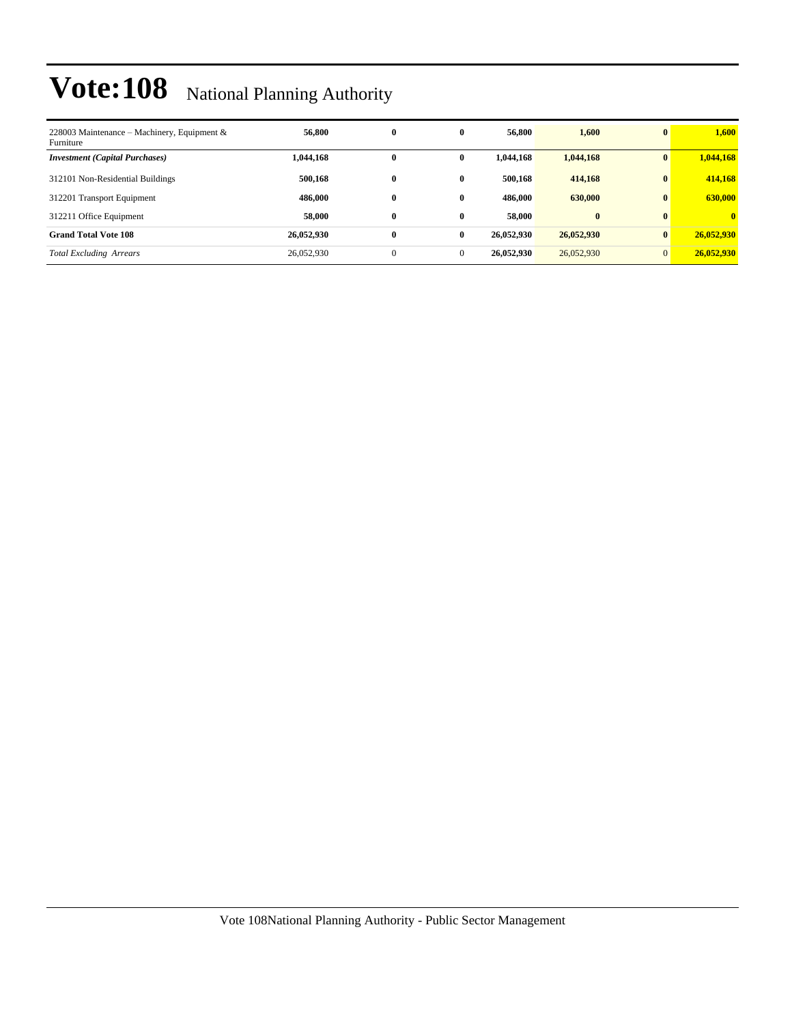| 228003 Maintenance – Machinery, Equipment &<br>Furniture | 56,800     | $\bf{0}$     | 0        | 56,800     | 1,600      | $\mathbf{0}$ | 1.600        |
|----------------------------------------------------------|------------|--------------|----------|------------|------------|--------------|--------------|
| <b>Investment</b> (Capital Purchases)                    | 1,044,168  | $\mathbf{0}$ | 0        | 1,044,168  | 1,044,168  |              | 1,044,168    |
| 312101 Non-Residential Buildings                         | 500,168    | $\bf{0}$     | 0        | 500,168    | 414,168    | $\mathbf{0}$ | 414,168      |
| 312201 Transport Equipment                               | 486,000    | $\bf{0}$     | 0        | 486,000    | 630,000    | $\mathbf{0}$ | 630,000      |
| 312211 Office Equipment                                  | 58,000     | $\bf{0}$     | 0        | 58,000     | $\bf{0}$   | $\mathbf{0}$ | $\mathbf{0}$ |
| <b>Grand Total Vote 108</b>                              | 26,052,930 | $\bf{0}$     | $\bf{0}$ | 26,052,930 | 26,052,930 | $\mathbf{0}$ | 26,052,930   |
| <b>Total Excluding Arrears</b>                           | 26,052,930 | $\mathbf{0}$ | $\theta$ | 26,052,930 | 26,052,930 | $\mathbf{0}$ | 26,052,930   |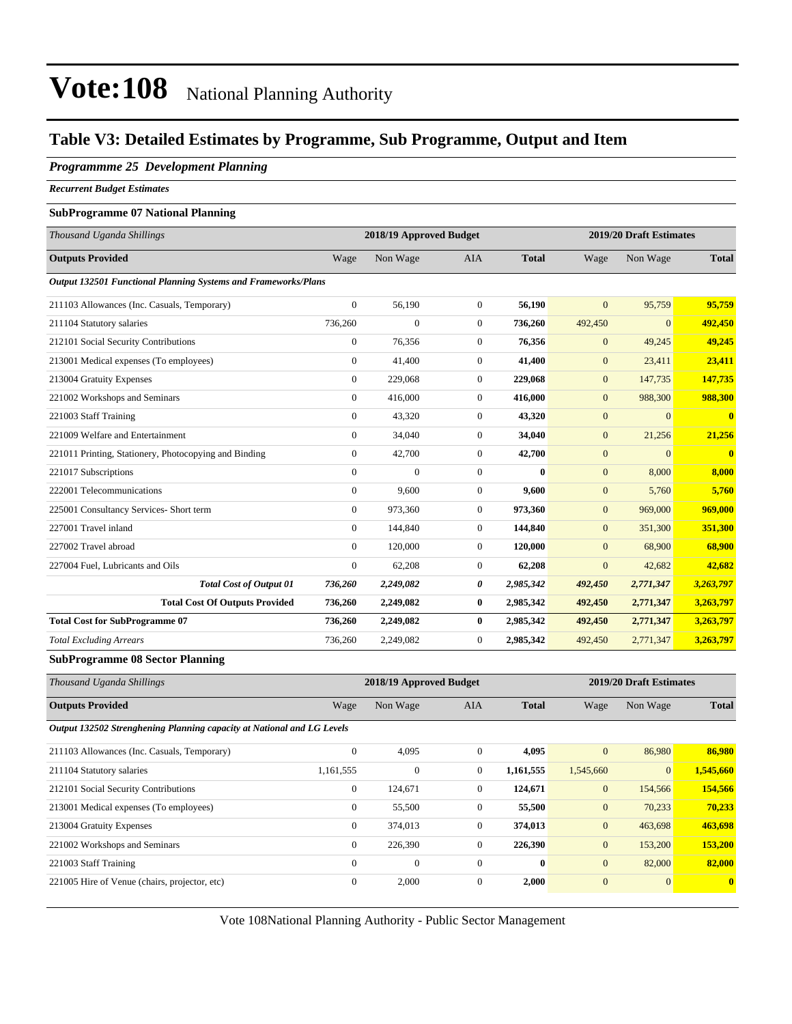#### **Table V3: Detailed Estimates by Programme, Sub Programme, Output and Item**

#### *Programmme 25 Development Planning*

*Recurrent Budget Estimates*

#### **SubProgramme 07 National Planning**

| Thousand Uganda Shillings                                      |                  | 2018/19 Approved Budget |                |              |                  | 2019/20 Draft Estimates |              |
|----------------------------------------------------------------|------------------|-------------------------|----------------|--------------|------------------|-------------------------|--------------|
| <b>Outputs Provided</b>                                        | Wage             | Non Wage                | <b>AIA</b>     | <b>Total</b> | Wage             | Non Wage                | <b>Total</b> |
| Output 132501 Functional Planning Systems and Frameworks/Plans |                  |                         |                |              |                  |                         |              |
| 211103 Allowances (Inc. Casuals, Temporary)                    | $\overline{0}$   | 56,190                  | $\overline{0}$ | 56,190       | $\Omega$         | 95,759                  | 95,759       |
| 211104 Statutory salaries                                      | 736,260          | $\overline{0}$          | $\mathbf{0}$   | 736,260      | 492,450          | $\mathbf{0}$            | 492,450      |
| 212101 Social Security Contributions                           | $\boldsymbol{0}$ | 76,356                  | $\mathbf{0}$   | 76,356       | $\boldsymbol{0}$ | 49,245                  | 49,245       |
| 213001 Medical expenses (To employees)                         | $\overline{0}$   | 41,400                  | $\mathbf{0}$   | 41,400       | $\overline{0}$   | 23,411                  | 23,411       |
| 213004 Gratuity Expenses                                       | $\Omega$         | 229,068                 | $\Omega$       | 229,068      | $\overline{0}$   | 147,735                 | 147,735      |
| 221002 Workshops and Seminars                                  | $\Omega$         | 416,000                 | $\Omega$       | 416,000      | $\overline{0}$   | 988,300                 | 988,300      |
| 221003 Staff Training                                          | $\overline{0}$   | 43,320                  | $\overline{0}$ | 43,320       | $\boldsymbol{0}$ | $\Omega$                | $\mathbf{0}$ |
| 221009 Welfare and Entertainment                               | $\overline{0}$   | 34,040                  | $\mathbf{0}$   | 34,040       | $\mathbf{0}$     | 21,256                  | 21,256       |
| 221011 Printing, Stationery, Photocopying and Binding          | $\overline{0}$   | 42,700                  | $\mathbf{0}$   | 42,700       | $\overline{0}$   | $\mathbf{0}$            | $\bf{0}$     |
| 221017 Subscriptions                                           | $\overline{0}$   | $\overline{0}$          | $\mathbf{0}$   | $\mathbf{0}$ | $\mathbf{0}$     | 8,000                   | 8,000        |
| 222001 Telecommunications                                      | $\overline{0}$   | 9.600                   | $\mathbf{0}$   | 9.600        | $\overline{0}$   | 5,760                   | 5.760        |
| 225001 Consultancy Services- Short term                        | $\overline{0}$   | 973,360                 | $\mathbf{0}$   | 973,360      | $\overline{0}$   | 969,000                 | 969,000      |
| 227001 Travel inland                                           | $\Omega$         | 144,840                 | $\Omega$       | 144,840      | $\Omega$         | 351,300                 | 351,300      |
| 227002 Travel abroad                                           | $\overline{0}$   | 120,000                 | $\overline{0}$ | 120,000      | $\overline{0}$   | 68,900                  | 68,900       |
| 227004 Fuel, Lubricants and Oils                               | $\overline{0}$   | 62,208                  | $\overline{0}$ | 62,208       | $\overline{0}$   | 42,682                  | 42,682       |
| <b>Total Cost of Output 01</b>                                 | 736,260          | 2,249,082               | 0              | 2,985,342    | 492,450          | 2,771,347               | 3,263,797    |
| <b>Total Cost Of Outputs Provided</b>                          | 736,260          | 2,249,082               | $\bf{0}$       | 2,985,342    | 492,450          | 2,771,347               | 3,263,797    |
| <b>Total Cost for SubProgramme 07</b>                          | 736,260          | 2,249,082               | $\bf{0}$       | 2,985,342    | 492,450          | 2,771,347               | 3,263,797    |
| <b>Total Excluding Arrears</b>                                 | 736,260          | 2,249,082               | $\Omega$       | 2,985,342    | 492,450          | 2,771,347               | 3,263,797    |

#### **SubProgramme 08 Sector Planning**

| Thousand Uganda Shillings                                              |                | 2018/19 Approved Budget |              |              |              | 2019/20 Draft Estimates |              |  |  |
|------------------------------------------------------------------------|----------------|-------------------------|--------------|--------------|--------------|-------------------------|--------------|--|--|
| <b>Outputs Provided</b>                                                | Wage           | Non Wage                | AIA          | <b>Total</b> | Wage         | Non Wage                | <b>Total</b> |  |  |
| Output 132502 Strenghening Planning capacity at National and LG Levels |                |                         |              |              |              |                         |              |  |  |
| 211103 Allowances (Inc. Casuals, Temporary)                            | $\mathbf{0}$   | 4,095                   | $\mathbf{0}$ | 4,095        | $\mathbf{0}$ | 86,980                  | 86,980       |  |  |
| 211104 Statutory salaries                                              | 1,161,555      | $\mathbf{0}$            | $\mathbf{0}$ | 1,161,555    | 1,545,660    | $\mathbf{0}$            | 1,545,660    |  |  |
| 212101 Social Security Contributions                                   | $\mathbf{0}$   | 124,671                 | $\mathbf{0}$ | 124,671      | $\mathbf{0}$ | 154,566                 | 154,566      |  |  |
| 213001 Medical expenses (To employees)                                 | $\mathbf{0}$   | 55,500                  | $\mathbf{0}$ | 55,500       | $\mathbf{0}$ | 70,233                  | 70,233       |  |  |
| 213004 Gratuity Expenses                                               | $\overline{0}$ | 374,013                 | $\mathbf{0}$ | 374,013      | $\mathbf{0}$ | 463,698                 | 463,698      |  |  |
| 221002 Workshops and Seminars                                          | $\overline{0}$ | 226,390                 | $\mathbf{0}$ | 226,390      | $\mathbf{0}$ | 153,200                 | 153,200      |  |  |
| 221003 Staff Training                                                  | $\mathbf{0}$   | $\mathbf{0}$            | $\Omega$     | $\bf{0}$     | $\mathbf{0}$ | 82,000                  | 82,000       |  |  |
| 221005 Hire of Venue (chairs, projector, etc)                          | $\mathbf{0}$   | 2,000                   | $\mathbf{0}$ | 2,000        | $\mathbf{0}$ | $\mathbf{0}$            | $\mathbf{0}$ |  |  |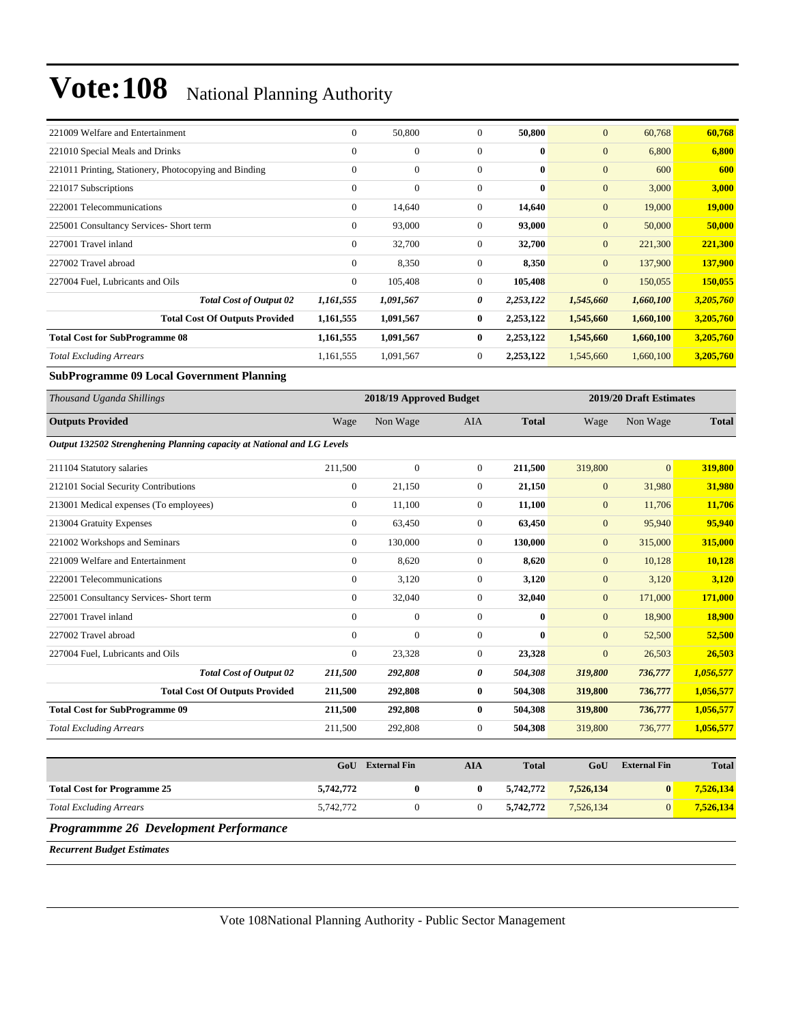| 221009 Welfare and Entertainment                                       | $\overline{0}$ | 50,800                  | $\Omega$         | 50,800       | $\mathbf{0}$     | 60,768                  | 60,768        |
|------------------------------------------------------------------------|----------------|-------------------------|------------------|--------------|------------------|-------------------------|---------------|
| 221010 Special Meals and Drinks                                        | $\overline{0}$ | $\mathbf{0}$            | $\mathbf{0}$     | $\bf{0}$     | $\mathbf{0}$     | 6,800                   | 6,800         |
| 221011 Printing, Stationery, Photocopying and Binding                  | $\overline{0}$ | $\mathbf{0}$            | $\mathbf{0}$     | $\bf{0}$     | $\mathbf{0}$     | 600                     | 600           |
| 221017 Subscriptions                                                   | $\Omega$       | $\mathbf{0}$            | $\mathbf{0}$     | $\mathbf{0}$ | $\mathbf{0}$     | 3,000                   | 3,000         |
| 222001 Telecommunications                                              | $\overline{0}$ | 14,640                  | $\mathbf{0}$     | 14,640       | $\mathbf{0}$     | 19,000                  | <b>19,000</b> |
| 225001 Consultancy Services- Short term                                | $\Omega$       | 93,000                  | $\Omega$         | 93,000       | $\mathbf{0}$     | 50,000                  | 50,000        |
| 227001 Travel inland                                                   | $\overline{0}$ | 32,700                  | $\boldsymbol{0}$ | 32,700       | $\mathbf{0}$     | 221,300                 | 221,300       |
| 227002 Travel abroad                                                   | $\overline{0}$ | 8,350                   | $\mathbf{0}$     | 8,350        | $\mathbf{0}$     | 137,900                 | 137,900       |
| 227004 Fuel, Lubricants and Oils                                       | $\mathbf{0}$   | 105,408                 | $\mathbf{0}$     | 105,408      | $\boldsymbol{0}$ | 150,055                 | 150,055       |
| <b>Total Cost of Output 02</b>                                         | 1,161,555      | 1,091,567               | 0                | 2,253,122    | 1,545,660        | 1,660,100               | 3,205,760     |
| <b>Total Cost Of Outputs Provided</b>                                  | 1,161,555      | 1,091,567               | $\bf{0}$         | 2,253,122    | 1,545,660        | 1,660,100               | 3,205,760     |
| <b>Total Cost for SubProgramme 08</b>                                  | 1,161,555      | 1,091,567               | $\bf{0}$         | 2,253,122    | 1,545,660        | 1,660,100               | 3,205,760     |
| <b>Total Excluding Arrears</b>                                         | 1,161,555      | 1,091,567               | $\mathbf{0}$     | 2,253,122    | 1,545,660        | 1,660,100               | 3,205,760     |
| <b>SubProgramme 09 Local Government Planning</b>                       |                |                         |                  |              |                  |                         |               |
| Thousand Uganda Shillings                                              |                | 2018/19 Approved Budget |                  |              |                  | 2019/20 Draft Estimates |               |
| <b>Outputs Provided</b>                                                | Wage           | Non Wage                | <b>AIA</b>       | <b>Total</b> | Wage             | Non Wage                | <b>Total</b>  |
| Output 132502 Strenghening Planning capacity at National and LG Levels |                |                         |                  |              |                  |                         |               |
| 211104 Statutory salaries                                              | 211,500        | $\mathbf{0}$            | $\mathbf{0}$     | 211,500      | 319,800          | $\overline{0}$          | 319,800       |
| 212101 Social Security Contributions                                   | $\mathbf{0}$   | 21,150                  | $\mathbf{0}$     | 21,150       | $\mathbf{0}$     | 31,980                  | 31,980        |
|                                                                        |                |                         |                  |              | $\sim$           |                         |               |

| 213001 Medical expenses (To employees)  | $\boldsymbol{0}$ | 11,100           | $\overline{0}$ | 11,100       | $\mathbf{0}$   | 11,706  | 11,706        |
|-----------------------------------------|------------------|------------------|----------------|--------------|----------------|---------|---------------|
| 213004 Gratuity Expenses                | $\bf{0}$         | 63,450           | $\overline{0}$ | 63,450       | $\mathbf{0}$   | 95,940  | 95,940        |
| 221002 Workshops and Seminars           | $\overline{0}$   | 130,000          | $\mathbf{0}$   | 130,000      | $\overline{0}$ | 315,000 | 315,000       |
| 221009 Welfare and Entertainment        | $\mathbf{0}$     | 8,620            | $\overline{0}$ | 8,620        | $\mathbf{0}$   | 10,128  | 10,128        |
| 222001 Telecommunications               | $\mathbf{0}$     | 3,120            | $\overline{0}$ | 3,120        | $\mathbf{0}$   | 3,120   | 3,120         |
| 225001 Consultancy Services- Short term | $\mathbf{0}$     | 32,040           | $\mathbf{0}$   | 32,040       | $\mathbf{0}$   | 171,000 | 171,000       |
| 227001 Travel inland                    | $\overline{0}$   | $\boldsymbol{0}$ | $\overline{0}$ | $\mathbf{0}$ | $\mathbf{0}$   | 18,900  | <b>18,900</b> |
| 227002 Travel abroad                    | $\mathbf{0}$     | $\mathbf{0}$     | $\overline{0}$ | $\mathbf{0}$ | $\mathbf{0}$   | 52,500  | 52,500        |
| 227004 Fuel, Lubricants and Oils        | $\overline{0}$   | 23,328           | $\overline{0}$ | 23,328       | $\overline{0}$ | 26,503  | 26,503        |
| <b>Total Cost of Output 02</b>          | 211,500          | 292,808          | 0              | 504,308      | 319,800        | 736,777 | 1,056,577     |
| <b>Total Cost Of Outputs Provided</b>   | 211,500          | 292,808          | $\bf{0}$       | 504,308      | 319,800        | 736,777 | 1,056,577     |
| <b>Total Cost for SubProgramme 09</b>   | 211,500          | 292,808          | $\bf{0}$       | 504,308      | 319,800        | 736,777 | 1,056,577     |
| <b>Total Excluding Arrears</b>          | 211,500          | 292,808          | $\Omega$       | 504,308      | 319,800        | 736,777 | 1,056,577     |

|                                    | GoU       | <b>External Fin</b> | AIA | <b>Total</b> | GoU       | <b>External Fin</b> | <b>Total</b> |
|------------------------------------|-----------|---------------------|-----|--------------|-----------|---------------------|--------------|
| <b>Total Cost for Programme 25</b> | 5,742,772 |                     |     | 5,742,772    | 7,526,134 |                     | 7,526,134    |
| <b>Total Excluding Arrears</b>     | 5,742,772 |                     |     | 5.742.772    | 7,526,134 |                     | 7,526,134    |
|                                    |           |                     |     |              |           |                     |              |

*Programmme 26 Development Performance*

*Recurrent Budget Estimates*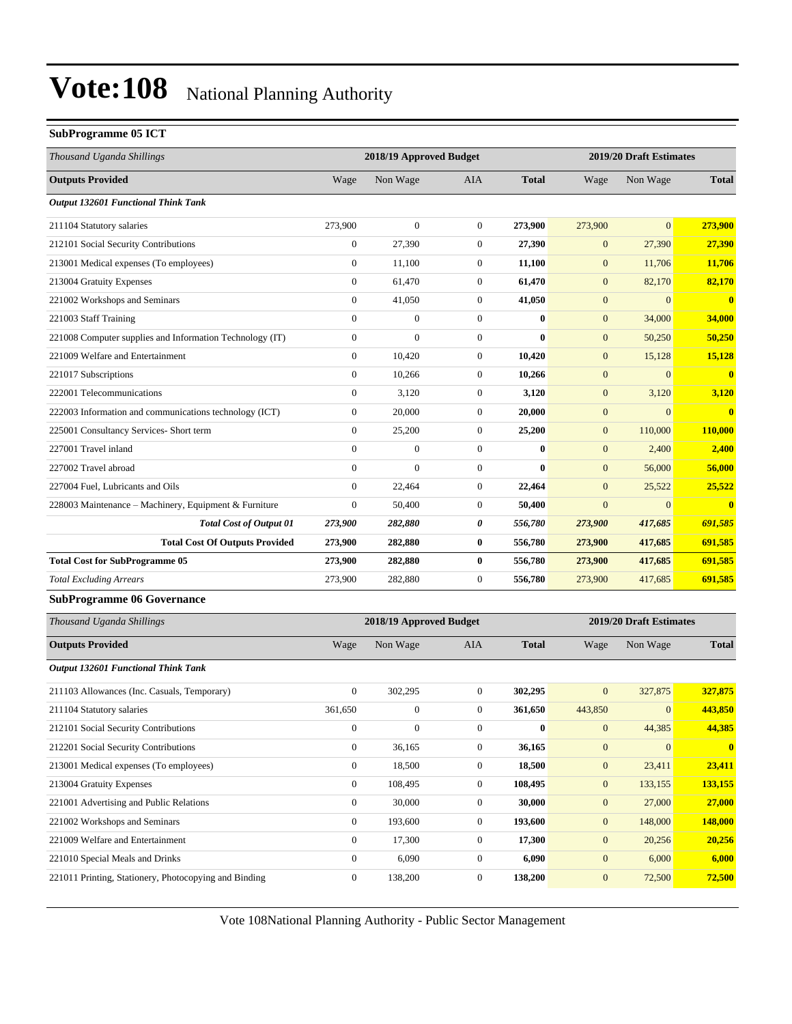#### **SubProgramme 05 ICT**

| Thousand Uganda Shillings                                |                  | 2018/19 Approved Budget |                  |              |                  | 2019/20 Draft Estimates |              |
|----------------------------------------------------------|------------------|-------------------------|------------------|--------------|------------------|-------------------------|--------------|
| <b>Outputs Provided</b>                                  | Wage             | Non Wage                | AIA              | <b>Total</b> | Wage             | Non Wage                | <b>Total</b> |
| <b>Output 132601 Functional Think Tank</b>               |                  |                         |                  |              |                  |                         |              |
| 211104 Statutory salaries                                | 273,900          | $\boldsymbol{0}$        | $\mathbf{0}$     | 273,900      | 273,900          | $\overline{0}$          | 273,900      |
| 212101 Social Security Contributions                     | $\mathbf{0}$     | 27,390                  | $\boldsymbol{0}$ | 27,390       | $\mathbf{0}$     | 27,390                  | 27,390       |
| 213001 Medical expenses (To employees)                   | $\boldsymbol{0}$ | 11,100                  | $\boldsymbol{0}$ | 11,100       | $\boldsymbol{0}$ | 11,706                  | 11,706       |
| 213004 Gratuity Expenses                                 | $\boldsymbol{0}$ | 61,470                  | $\boldsymbol{0}$ | 61,470       | $\boldsymbol{0}$ | 82,170                  | 82,170       |
| 221002 Workshops and Seminars                            | $\boldsymbol{0}$ | 41,050                  | $\boldsymbol{0}$ | 41,050       | $\mathbf{0}$     | $\overline{0}$          | $\bf{0}$     |
| 221003 Staff Training                                    | $\mathbf{0}$     | $\boldsymbol{0}$        | $\boldsymbol{0}$ | $\bf{0}$     | $\mathbf{0}$     | 34,000                  | 34,000       |
| 221008 Computer supplies and Information Technology (IT) | $\boldsymbol{0}$ | $\overline{0}$          | $\boldsymbol{0}$ | $\mathbf{0}$ | $\mathbf{0}$     | 50,250                  | 50,250       |
| 221009 Welfare and Entertainment                         | $\boldsymbol{0}$ | 10,420                  | $\boldsymbol{0}$ | 10,420       | $\boldsymbol{0}$ | 15,128                  | 15,128       |
| 221017 Subscriptions                                     | $\boldsymbol{0}$ | 10,266                  | $\boldsymbol{0}$ | 10,266       | $\boldsymbol{0}$ | $\mathbf{0}$            | $\mathbf{0}$ |
| 222001 Telecommunications                                | $\boldsymbol{0}$ | 3,120                   | $\boldsymbol{0}$ | 3,120        | $\mathbf{0}$     | 3,120                   | 3,120        |
| 222003 Information and communications technology (ICT)   | $\boldsymbol{0}$ | 20,000                  | $\boldsymbol{0}$ | 20,000       | $\mathbf{0}$     | $\overline{0}$          | $\mathbf{0}$ |
| 225001 Consultancy Services- Short term                  | $\boldsymbol{0}$ | 25,200                  | $\boldsymbol{0}$ | 25,200       | $\mathbf{0}$     | 110,000                 | 110,000      |
| 227001 Travel inland                                     | $\mathbf{0}$     | $\boldsymbol{0}$        | $\boldsymbol{0}$ | $\bf{0}$     | $\mathbf{0}$     | 2,400                   | 2,400        |
| 227002 Travel abroad                                     | $\boldsymbol{0}$ | $\overline{0}$          | $\boldsymbol{0}$ | $\bf{0}$     | $\mathbf{0}$     | 56,000                  | 56,000       |
| 227004 Fuel, Lubricants and Oils                         | $\boldsymbol{0}$ | 22,464                  | $\boldsymbol{0}$ | 22,464       | $\mathbf{0}$     | 25,522                  | 25,522       |
| 228003 Maintenance – Machinery, Equipment & Furniture    | $\mathbf{0}$     | 50,400                  | $\boldsymbol{0}$ | 50,400       | $\overline{0}$   | $\overline{0}$          | $\bf{0}$     |
| <b>Total Cost of Output 01</b>                           | 273,900          | 282,880                 | 0                | 556,780      | 273,900          | 417,685                 | 691,585      |
| <b>Total Cost Of Outputs Provided</b>                    | 273,900          | 282,880                 | $\bf{0}$         | 556,780      | 273,900          | 417,685                 | 691,585      |
| <b>Total Cost for SubProgramme 05</b>                    | 273,900          | 282,880                 | $\bf{0}$         | 556,780      | 273,900          | 417,685                 | 691,585      |
| <b>Total Excluding Arrears</b>                           | 273,900          | 282,880                 | $\boldsymbol{0}$ | 556,780      | 273,900          | 417,685                 | 691,585      |
| <b>SubProgramme 06 Governance</b>                        |                  |                         |                  |              |                  |                         |              |
| Thousand Uganda Shillings                                |                  | 2018/19 Approved Budget |                  |              |                  | 2019/20 Draft Estimates |              |
| <b>Outputs Provided</b>                                  | Wage             | Non Wage                | AIA              | <b>Total</b> | Wage             | Non Wage                | <b>Total</b> |
| Output 132601 Functional Think Tank                      |                  |                         |                  |              |                  |                         |              |
| 211103 Allowances (Inc. Casuals, Temporary)              | $\mathbf{0}$     | 302,295                 | $\boldsymbol{0}$ | 302,295      | $\mathbf{0}$     | 327,875                 | 327,875      |
| 211104 Statutory salaries                                | 361.650          | $\boldsymbol{0}$        | $\boldsymbol{0}$ | 361,650      | 443.850          | $\mathbf{0}$            | 443,850      |
| 212101 Social Security Contributions                     | $\boldsymbol{0}$ | $\boldsymbol{0}$        | $\boldsymbol{0}$ | $\bf{0}$     | $\mathbf{0}$     | 44,385                  | 44,385       |
| 212201 Social Security Contributions                     | $\boldsymbol{0}$ | 36,165                  | $\boldsymbol{0}$ | 36,165       | $\boldsymbol{0}$ | $\mathbf{0}$            | $\bf{0}$     |
| 213001 Medical expenses (To employees)                   | $\mathbf{0}$     | 18,500                  | $\boldsymbol{0}$ | 18,500       | $\mathbf{0}$     | 23,411                  | 23,411       |
| 213004 Gratuity Expenses                                 | $\boldsymbol{0}$ | 108,495                 | $\boldsymbol{0}$ | 108,495      | $\mathbf{0}$     | 133,155                 | 133,155      |
| 221001 Advertising and Public Relations                  | $\mathbf{0}$     | 30,000                  | $\boldsymbol{0}$ | 30,000       | $\mathbf{0}$     | 27,000                  | 27,000       |
| 221002 Workshops and Seminars                            | $\mathbf{0}$     | 193,600                 | $\boldsymbol{0}$ | 193,600      | $\mathbf{0}$     | 148,000                 | 148,000      |
| 221009 Welfare and Entertainment                         | $\boldsymbol{0}$ | 17,300                  | $\boldsymbol{0}$ | 17,300       | $\boldsymbol{0}$ | 20,256                  | 20,256       |
| 221010 Special Meals and Drinks                          | $\boldsymbol{0}$ | 6,090                   | $\boldsymbol{0}$ | 6,090        | $\mathbf{0}$     | 6,000                   | 6,000        |
| 221011 Printing, Stationery, Photocopying and Binding    | $\boldsymbol{0}$ | 138,200                 | 0                | 138,200      | $\mathbf{0}$     | 72,500                  | 72,500       |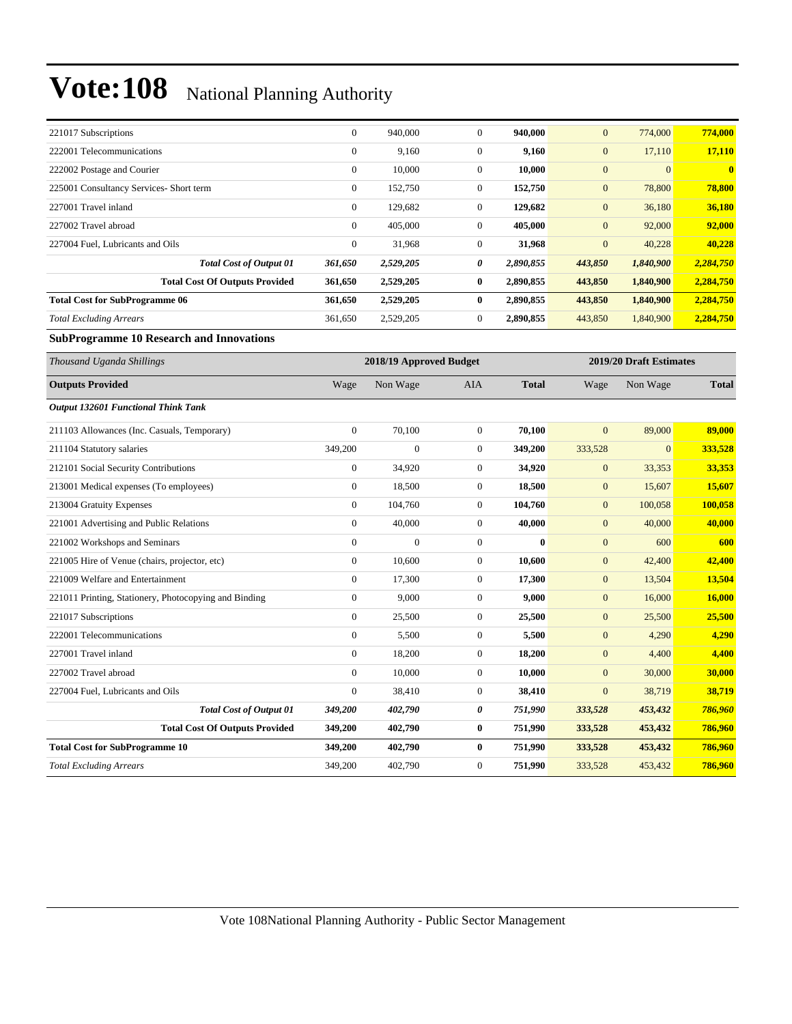| 221017 Subscriptions                    | $\mathbf{0}$ | 940,000   | $\mathbf{0}$ | 940,000   | $\mathbf{0}$ | 774,000   | 774,000      |
|-----------------------------------------|--------------|-----------|--------------|-----------|--------------|-----------|--------------|
| 222001 Telecommunications               | $\mathbf{0}$ | 9,160     | $\mathbf{0}$ | 9,160     | $\mathbf{0}$ | 17,110    | 17,110       |
| 222002 Postage and Courier              | $\mathbf{0}$ | 10.000    | $\mathbf{0}$ | 10,000    | $\mathbf{0}$ | $\Omega$  | $\mathbf{0}$ |
| 225001 Consultancy Services- Short term | $\mathbf{0}$ | 152,750   | $\mathbf{0}$ | 152,750   | $\mathbf{0}$ | 78,800    | 78,800       |
| 227001 Travel inland                    | $\mathbf{0}$ | 129,682   | $\mathbf{0}$ | 129,682   | $\mathbf{0}$ | 36,180    | 36,180       |
| 227002 Travel abroad                    | $\mathbf{0}$ | 405,000   | $\mathbf{0}$ | 405,000   | $\mathbf{0}$ | 92,000    | 92,000       |
| 227004 Fuel, Lubricants and Oils        | $\mathbf{0}$ | 31,968    | $\Omega$     | 31,968    | $\mathbf{0}$ | 40,228    | 40,228       |
| <b>Total Cost of Output 01</b>          | 361,650      | 2,529,205 | 0            | 2,890,855 | 443,850      | 1,840,900 | 2,284,750    |
| <b>Total Cost Of Outputs Provided</b>   | 361,650      | 2,529,205 | $\bf{0}$     | 2,890,855 | 443,850      | 1,840,900 | 2,284,750    |
| <b>Total Cost for SubProgramme 06</b>   | 361,650      | 2,529,205 | 0            | 2,890,855 | 443,850      | 1,840,900 | 2,284,750    |
| <b>Total Excluding Arrears</b>          | 361,650      | 2,529,205 | $\mathbf{0}$ | 2,890,855 | 443,850      | 1,840,900 | 2,284,750    |

#### **SubProgramme 10 Research and Innovations**

| Thousand Uganda Shillings                             |                  | 2018/19 Approved Budget |                  |              |                  | 2019/20 Draft Estimates |              |
|-------------------------------------------------------|------------------|-------------------------|------------------|--------------|------------------|-------------------------|--------------|
| <b>Outputs Provided</b>                               | Wage             | Non Wage                | <b>AIA</b>       | <b>Total</b> | Wage             | Non Wage                | <b>Total</b> |
| Output 132601 Functional Think Tank                   |                  |                         |                  |              |                  |                         |              |
| 211103 Allowances (Inc. Casuals, Temporary)           | $\boldsymbol{0}$ | 70,100                  | $\boldsymbol{0}$ | 70,100       | $\boldsymbol{0}$ | 89,000                  | 89,000       |
| 211104 Statutory salaries                             | 349,200          | $\overline{0}$          | $\mathbf{0}$     | 349,200      | 333,528          | $\Omega$                | 333,528      |
| 212101 Social Security Contributions                  | $\mathbf{0}$     | 34,920                  | $\mathbf{0}$     | 34,920       | $\overline{0}$   | 33,353                  | 33,353       |
| 213001 Medical expenses (To employees)                | $\boldsymbol{0}$ | 18,500                  | $\mathbf{0}$     | 18,500       | $\mathbf{0}$     | 15,607                  | 15,607       |
| 213004 Gratuity Expenses                              | $\overline{0}$   | 104,760                 | $\mathbf{0}$     | 104,760      | $\mathbf{0}$     | 100,058                 | 100,058      |
| 221001 Advertising and Public Relations               | $\overline{0}$   | 40,000                  | $\overline{0}$   | 40,000       | $\overline{0}$   | 40,000                  | 40,000       |
| 221002 Workshops and Seminars                         | $\overline{0}$   | $\overline{0}$          | $\mathbf{0}$     | $\bf{0}$     | $\overline{0}$   | 600                     | 600          |
| 221005 Hire of Venue (chairs, projector, etc)         | $\overline{0}$   | 10,600                  | $\mathbf{0}$     | 10,600       | $\mathbf{0}$     | 42,400                  | 42,400       |
| 221009 Welfare and Entertainment                      | $\overline{0}$   | 17,300                  | $\mathbf{0}$     | 17,300       | $\mathbf{0}$     | 13,504                  | 13,504       |
| 221011 Printing, Stationery, Photocopying and Binding | $\overline{0}$   | 9,000                   | $\overline{0}$   | 9,000        | $\overline{0}$   | 16,000                  | 16,000       |
| 221017 Subscriptions                                  | $\overline{0}$   | 25,500                  | $\overline{0}$   | 25,500       | $\mathbf{0}$     | 25,500                  | 25,500       |
| 222001 Telecommunications                             | $\overline{0}$   | 5,500                   | $\mathbf{0}$     | 5,500        | $\mathbf{0}$     | 4,290                   | 4,290        |
| 227001 Travel inland                                  | $\overline{0}$   | 18,200                  | $\overline{0}$   | 18,200       | $\overline{0}$   | 4,400                   | 4,400        |
| 227002 Travel abroad                                  | $\Omega$         | 10,000                  | $\overline{0}$   | 10,000       | $\overline{0}$   | 30,000                  | 30,000       |
| 227004 Fuel, Lubricants and Oils                      | $\overline{0}$   | 38,410                  | $\mathbf{0}$     | 38,410       | $\mathbf{0}$     | 38,719                  | 38,719       |
| <b>Total Cost of Output 01</b>                        | 349,200          | 402,790                 | 0                | 751,990      | 333,528          | 453,432                 | 786,960      |
| <b>Total Cost Of Outputs Provided</b>                 | 349,200          | 402,790                 | $\bf{0}$         | 751,990      | 333,528          | 453,432                 | 786,960      |
| <b>Total Cost for SubProgramme 10</b>                 | 349,200          | 402,790                 | $\bf{0}$         | 751,990      | 333,528          | 453,432                 | 786,960      |
| <b>Total Excluding Arrears</b>                        | 349,200          | 402,790                 | $\mathbf{0}$     | 751,990      | 333,528          | 453,432                 | 786,960      |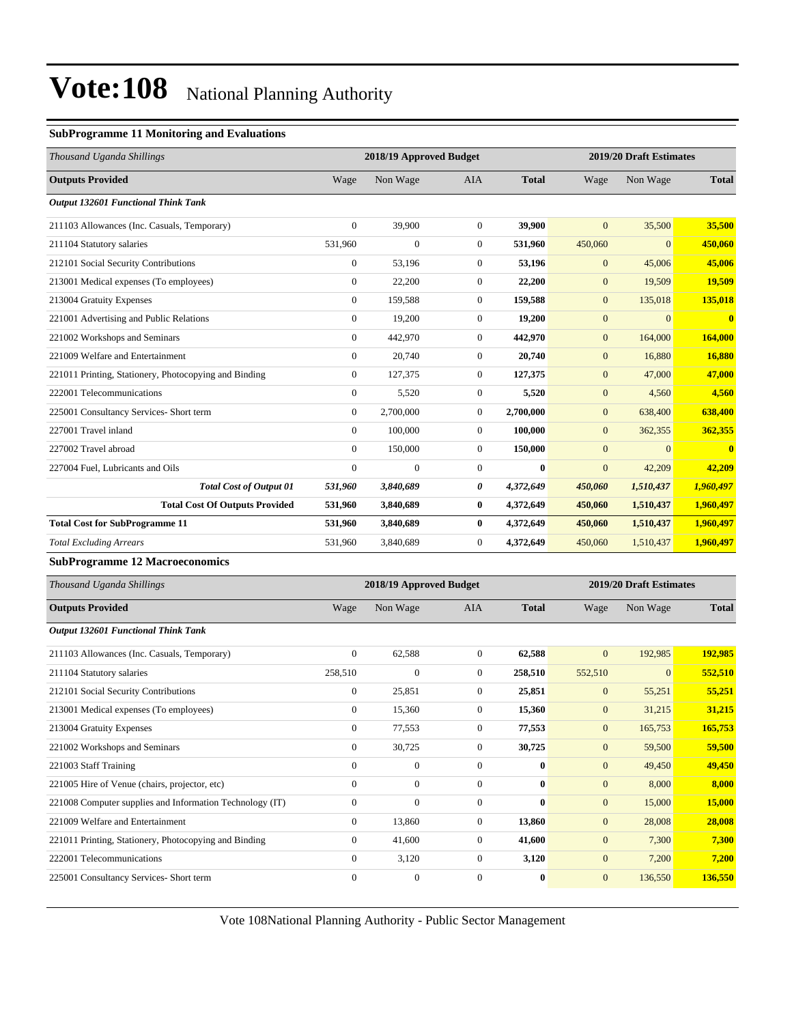#### **SubProgramme 11 Monitoring and Evaluations**

| Thousand Uganda Shillings                             |                  | 2018/19 Approved Budget |                |              |                | 2019/20 Draft Estimates |              |  |
|-------------------------------------------------------|------------------|-------------------------|----------------|--------------|----------------|-------------------------|--------------|--|
| <b>Outputs Provided</b>                               | Wage             | Non Wage                | <b>AIA</b>     | <b>Total</b> | Wage           | Non Wage                | <b>Total</b> |  |
| <b>Output 132601 Functional Think Tank</b>            |                  |                         |                |              |                |                         |              |  |
| 211103 Allowances (Inc. Casuals, Temporary)           | $\overline{0}$   | 39,900                  | $\theta$       | 39,900       | $\overline{0}$ | 35,500                  | 35,500       |  |
| 211104 Statutory salaries                             | 531,960          | $\overline{0}$          | $\theta$       | 531,960      | 450,060        | $\mathbf{0}$            | 450,060      |  |
| 212101 Social Security Contributions                  | $\boldsymbol{0}$ | 53,196                  | $\theta$       | 53,196       | $\mathbf{0}$   | 45,006                  | 45,006       |  |
| 213001 Medical expenses (To employees)                | $\overline{0}$   | 22,200                  | $\overline{0}$ | 22,200       | $\mathbf{0}$   | 19,509                  | 19,509       |  |
| 213004 Gratuity Expenses                              | $\overline{0}$   | 159,588                 | $\overline{0}$ | 159,588      | $\mathbf{0}$   | 135,018                 | 135,018      |  |
| 221001 Advertising and Public Relations               | $\overline{0}$   | 19,200                  | $\overline{0}$ | 19,200       | $\mathbf{0}$   | $\mathbf{0}$            | $\mathbf{0}$ |  |
| 221002 Workshops and Seminars                         | $\overline{0}$   | 442,970                 | $\overline{0}$ | 442,970      | $\mathbf{0}$   | 164,000                 | 164,000      |  |
| 221009 Welfare and Entertainment                      | $\overline{0}$   | 20,740                  | $\theta$       | 20,740       | $\mathbf{0}$   | 16,880                  | 16,880       |  |
| 221011 Printing, Stationery, Photocopying and Binding | $\boldsymbol{0}$ | 127,375                 | $\overline{0}$ | 127,375      | $\mathbf{0}$   | 47,000                  | 47,000       |  |
| 222001 Telecommunications                             | $\overline{0}$   | 5,520                   | $\overline{0}$ | 5,520        | $\mathbf{0}$   | 4,560                   | 4,560        |  |
| 225001 Consultancy Services- Short term               | $\overline{0}$   | 2,700,000               | $\overline{0}$ | 2,700,000    | $\mathbf{0}$   | 638,400                 | 638,400      |  |
| 227001 Travel inland                                  | $\overline{0}$   | 100,000                 | $\overline{0}$ | 100,000      | $\overline{0}$ | 362,355                 | 362,355      |  |
| 227002 Travel abroad                                  | $\overline{0}$   | 150,000                 | $\overline{0}$ | 150,000      | $\mathbf{0}$   | $\overline{0}$          | $\mathbf{0}$ |  |
| 227004 Fuel, Lubricants and Oils                      | $\mathbf{0}$     | $\overline{0}$          | $\theta$       | $\mathbf{0}$ | $\overline{0}$ | 42,209                  | 42,209       |  |
| <b>Total Cost of Output 01</b>                        | 531,960          | 3,840,689               | 0              | 4,372,649    | 450,060        | 1,510,437               | 1,960,497    |  |
| <b>Total Cost Of Outputs Provided</b>                 | 531,960          | 3,840,689               | $\bf{0}$       | 4,372,649    | 450,060        | 1,510,437               | 1,960,497    |  |
| <b>Total Cost for SubProgramme 11</b>                 | 531,960          | 3,840,689               | $\mathbf{0}$   | 4,372,649    | 450,060        | 1,510,437               | 1,960,497    |  |
| <b>Total Excluding Arrears</b>                        | 531,960          | 3,840,689               | $\overline{0}$ | 4,372,649    | 450,060        | 1,510,437               | 1,960,497    |  |
| $C_{\rm m}$ is $D_{\rm m}$ .<br>$-12.55$              |                  |                         |                |              |                |                         |              |  |

#### **SubProgramme 12 Macroeconomics**

| Thousand Uganda Shillings                                |              | 2018/19 Approved Budget |                |              |                | 2019/20 Draft Estimates |              |
|----------------------------------------------------------|--------------|-------------------------|----------------|--------------|----------------|-------------------------|--------------|
| <b>Outputs Provided</b>                                  | Wage         | Non Wage                | <b>AIA</b>     | <b>Total</b> | Wage           | Non Wage                | <b>Total</b> |
| <b>Output 132601 Functional Think Tank</b>               |              |                         |                |              |                |                         |              |
| 211103 Allowances (Inc. Casuals, Temporary)              | $\mathbf{0}$ | 62,588                  | $\Omega$       | 62,588       | $\mathbf{0}$   | 192,985                 | 192,985      |
| 211104 Statutory salaries                                | 258,510      | $\overline{0}$          | $\overline{0}$ | 258,510      | 552,510        | $\overline{0}$          | 552,510      |
| 212101 Social Security Contributions                     | $\bf{0}$     | 25,851                  | $\overline{0}$ | 25,851       | $\mathbf{0}$   | 55,251                  | 55,251       |
| 213001 Medical expenses (To employees)                   | $\bf{0}$     | 15,360                  | $\overline{0}$ | 15,360       | $\mathbf{0}$   | 31,215                  | 31,215       |
| 213004 Gratuity Expenses                                 | $\mathbf{0}$ | 77,553                  | $\overline{0}$ | 77,553       | $\overline{0}$ | 165,753                 | 165,753      |
| 221002 Workshops and Seminars                            | $\mathbf{0}$ | 30,725                  | $\overline{0}$ | 30,725       | $\mathbf{0}$   | 59,500                  | 59,500       |
| 221003 Staff Training                                    | $\theta$     | $\overline{0}$          | $\mathbf{0}$   | $\bf{0}$     | $\mathbf{0}$   | 49,450                  | 49,450       |
| 221005 Hire of Venue (chairs, projector, etc)            | $\mathbf{0}$ | $\overline{0}$          | $\overline{0}$ | $\mathbf{0}$ | $\mathbf{0}$   | 8,000                   | 8,000        |
| 221008 Computer supplies and Information Technology (IT) | $\mathbf{0}$ | $\overline{0}$          | $\overline{0}$ | $\bf{0}$     | $\mathbf{0}$   | 15,000                  | 15,000       |
| 221009 Welfare and Entertainment                         | $\mathbf{0}$ | 13,860                  | $\overline{0}$ | 13,860       | $\mathbf{0}$   | 28,008                  | 28,008       |
| 221011 Printing, Stationery, Photocopying and Binding    | $\Omega$     | 41,600                  | $\overline{0}$ | 41,600       | $\mathbf{0}$   | 7,300                   | 7,300        |
| 222001 Telecommunications                                | $\mathbf{0}$ | 3,120                   | $\overline{0}$ | 3,120        | $\mathbf{0}$   | 7,200                   | 7,200        |
| 225001 Consultancy Services- Short term                  | $\mathbf{0}$ | $\boldsymbol{0}$        | $\theta$       | $\bf{0}$     | $\overline{0}$ | 136,550                 | 136,550      |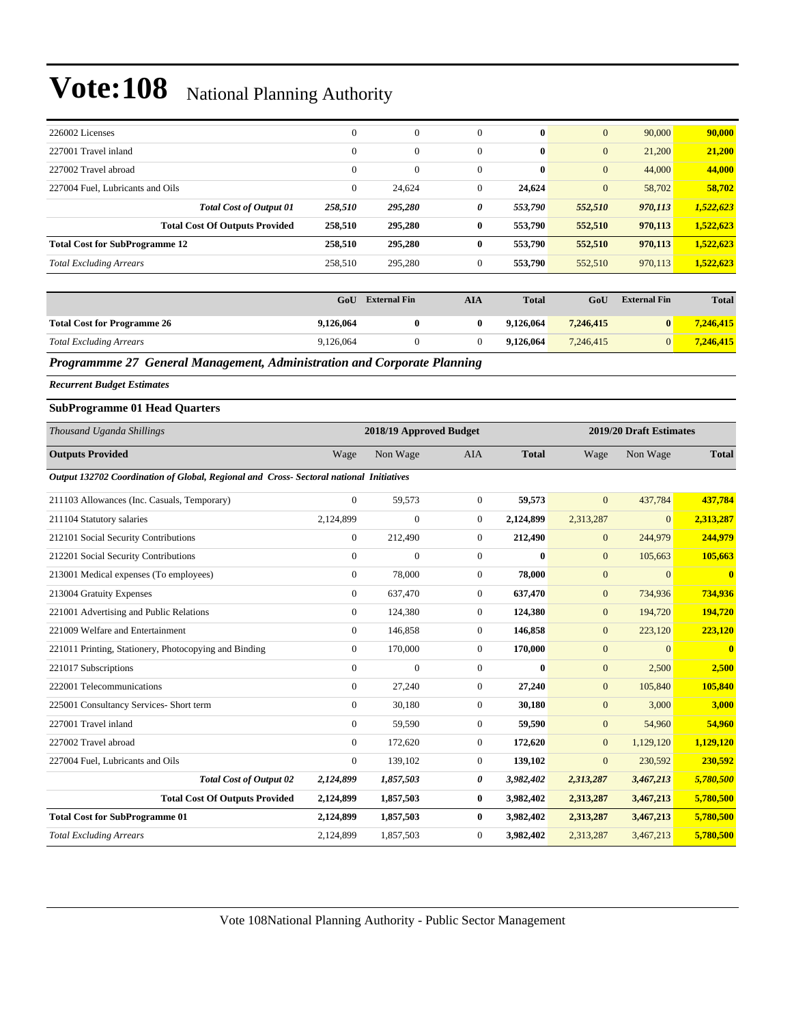| 226002 Licenses                                                                         | $\boldsymbol{0}$ | $\mathbf{0}$            | $\overline{0}$   | 0            | $\mathbf{0}$     | 90,000                  | 90,000                  |
|-----------------------------------------------------------------------------------------|------------------|-------------------------|------------------|--------------|------------------|-------------------------|-------------------------|
| 227001 Travel inland                                                                    | $\boldsymbol{0}$ | $\mathbf{0}$            | $\overline{0}$   | $\bf{0}$     | $\mathbf{0}$     | 21,200                  | 21,200                  |
| 227002 Travel abroad                                                                    | $\overline{0}$   | $\mathbf{0}$            | $\mathbf{0}$     | $\bf{0}$     | $\mathbf{0}$     | 44,000                  | 44,000                  |
| 227004 Fuel, Lubricants and Oils                                                        | $\overline{0}$   | 24,624                  | $\mathbf{0}$     | 24,624       | $\mathbf{0}$     | 58,702                  | 58,702                  |
| <b>Total Cost of Output 01</b>                                                          | 258,510          | 295,280                 | 0                | 553,790      | 552,510          | 970,113                 | 1,522,623               |
| <b>Total Cost Of Outputs Provided</b>                                                   | 258,510          | 295,280                 | $\bf{0}$         | 553,790      | 552,510          | 970,113                 | 1,522,623               |
| <b>Total Cost for SubProgramme 12</b>                                                   | 258,510          | 295,280                 | $\bf{0}$         | 553,790      | 552,510          | 970,113                 | 1,522,623               |
| <b>Total Excluding Arrears</b>                                                          | 258,510          | 295,280                 | $\theta$         | 553,790      | 552,510          | 970,113                 | 1,522,623               |
|                                                                                         |                  |                         |                  |              |                  |                         |                         |
|                                                                                         | GoU              | <b>External Fin</b>     | <b>AIA</b>       | <b>Total</b> | GoU              | <b>External Fin</b>     | <b>Total</b>            |
| <b>Total Cost for Programme 26</b>                                                      | 9,126,064        | $\bf{0}$                | $\bf{0}$         | 9,126,064    | 7,246,415        | $\bf{0}$                | 7,246,415               |
| <b>Total Excluding Arrears</b>                                                          | 9,126,064        | $\mathbf{0}$            | $\overline{0}$   | 9,126,064    | 7,246,415        | $\mathbf{0}$            | 7,246,415               |
| Programmme 27 General Management, Administration and Corporate Planning                 |                  |                         |                  |              |                  |                         |                         |
| <b>Recurrent Budget Estimates</b>                                                       |                  |                         |                  |              |                  |                         |                         |
| <b>SubProgramme 01 Head Quarters</b>                                                    |                  |                         |                  |              |                  |                         |                         |
| Thousand Uganda Shillings                                                               |                  | 2018/19 Approved Budget |                  |              |                  | 2019/20 Draft Estimates |                         |
| <b>Outputs Provided</b>                                                                 | Wage             | Non Wage                | AIA              | <b>Total</b> | Wage             | Non Wage                | <b>Total</b>            |
| Output 132702 Coordination of Global, Regional and Cross- Sectoral national Initiatives |                  |                         |                  |              |                  |                         |                         |
| 211103 Allowances (Inc. Casuals, Temporary)                                             | $\boldsymbol{0}$ | 59,573                  | $\mathbf{0}$     | 59,573       | $\overline{0}$   | 437,784                 | 437,784                 |
| 211104 Statutory salaries                                                               | 2,124,899        | $\mathbf{0}$            | $\mathbf{0}$     | 2,124,899    | 2,313,287        | $\boldsymbol{0}$        | 2,313,287               |
| 212101 Social Security Contributions                                                    | $\boldsymbol{0}$ | 212,490                 | $\boldsymbol{0}$ | 212,490      | $\mathbf{0}$     | 244,979                 | 244,979                 |
| 212201 Social Security Contributions                                                    | $\boldsymbol{0}$ | $\mathbf{0}$            | $\boldsymbol{0}$ | $\bf{0}$     | $\mathbf{0}$     | 105,663                 | 105,663                 |
| 213001 Medical expenses (To employees)                                                  | $\boldsymbol{0}$ | 78,000                  | $\mathbf{0}$     | 78,000       | $\mathbf{0}$     | $\mathbf{0}$            | $\bf{0}$                |
| 213004 Gratuity Expenses                                                                | $\boldsymbol{0}$ | 637,470                 | $\mathbf{0}$     | 637,470      | $\mathbf{0}$     | 734,936                 | 734,936                 |
| 221001 Advertising and Public Relations                                                 | $\boldsymbol{0}$ | 124,380                 | $\boldsymbol{0}$ | 124,380      | $\boldsymbol{0}$ | 194,720                 | 194,720                 |
| 221009 Welfare and Entertainment                                                        | $\boldsymbol{0}$ | 146,858                 | $\boldsymbol{0}$ | 146,858      | $\mathbf{0}$     | 223,120                 | 223,120                 |
| 221011 Printing, Stationery, Photocopying and Binding                                   | $\boldsymbol{0}$ | 170,000                 | $\mathbf{0}$     | 170,000      | $\mathbf{0}$     | $\mathbf{0}$            | $\overline{\mathbf{0}}$ |
| 221017 Subscriptions                                                                    | $\boldsymbol{0}$ | $\mathbf{0}$            | $\overline{0}$   | $\bf{0}$     | $\mathbf{0}$     | 2,500                   | 2,500                   |
| 222001 Telecommunications                                                               | $\boldsymbol{0}$ | 27,240                  | $\overline{0}$   | 27,240       | $\mathbf{0}$     | 105,840                 | 105,840                 |
| 225001 Consultancy Services- Short term                                                 | $\boldsymbol{0}$ | 30,180                  | $\boldsymbol{0}$ | 30,180       | $\boldsymbol{0}$ | 3,000                   | 3,000                   |
| 227001 Travel inland                                                                    | $\boldsymbol{0}$ | 59,590                  | $\boldsymbol{0}$ | 59,590       | $\boldsymbol{0}$ | 54,960                  | 54,960                  |
| 227002 Travel abroad                                                                    | $\boldsymbol{0}$ | 172,620                 | $\boldsymbol{0}$ | 172,620      | $\boldsymbol{0}$ | 1,129,120               | 1,129,120               |
| 227004 Fuel, Lubricants and Oils                                                        | $\boldsymbol{0}$ | 139,102                 | $\boldsymbol{0}$ | 139,102      | $\mathbf{0}$     | 230,592                 | 230,592                 |
| <b>Total Cost of Output 02</b>                                                          | 2,124,899        | 1,857,503               | 0                | 3,982,402    | 2,313,287        | 3,467,213               | 5,780,500               |
| <b>Total Cost Of Outputs Provided</b>                                                   | 2,124,899        | 1,857,503               | $\bf{0}$         | 3,982,402    | 2,313,287        | 3,467,213               | 5,780,500               |
| <b>Total Cost for SubProgramme 01</b>                                                   | 2,124,899        | 1,857,503               | $\bf{0}$         | 3,982,402    | 2,313,287        | 3,467,213               | 5,780,500               |
| <b>Total Excluding Arrears</b>                                                          | 2,124,899        | 1,857,503               | $\boldsymbol{0}$ | 3,982,402    | 2,313,287        | 3,467,213               | 5,780,500               |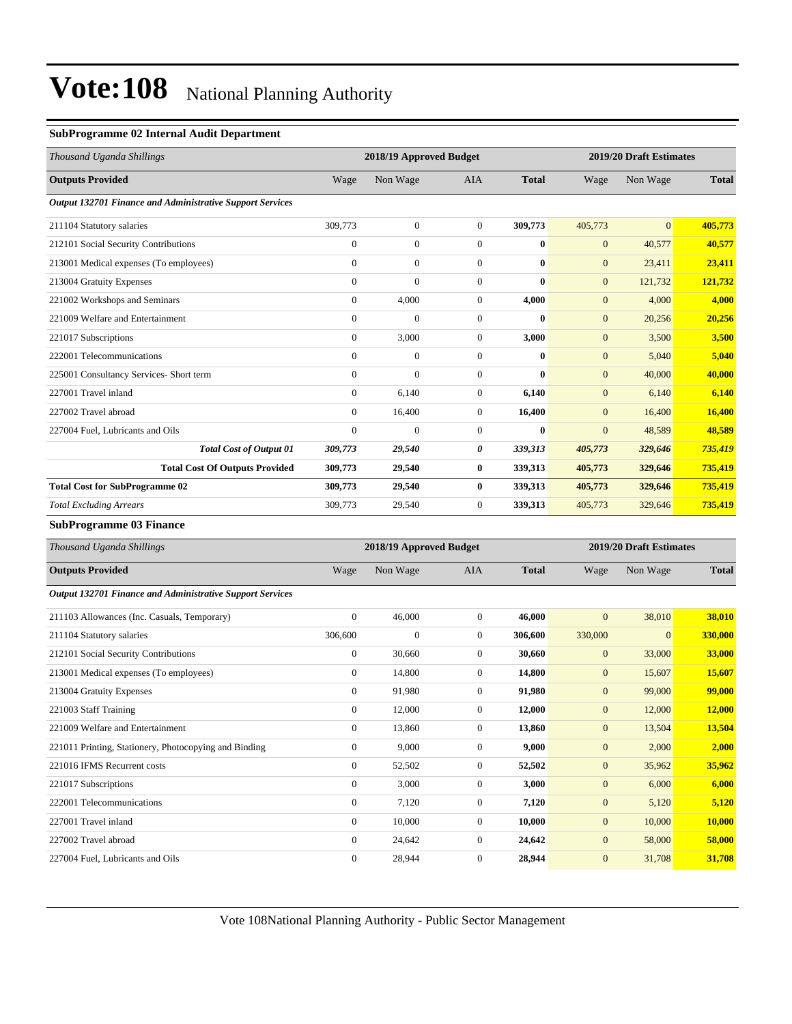#### **SubProgramme 02 Internal Audit Department**

| Thousand Uganda Shillings                                 |                | 2018/19 Approved Budget |                |              | 2019/20 Draft Estimates |                |              |
|-----------------------------------------------------------|----------------|-------------------------|----------------|--------------|-------------------------|----------------|--------------|
| <b>Outputs Provided</b>                                   | Wage           | Non Wage                | <b>AIA</b>     | <b>Total</b> | Wage                    | Non Wage       | <b>Total</b> |
| Output 132701 Finance and Administrative Support Services |                |                         |                |              |                         |                |              |
| 211104 Statutory salaries                                 | 309,773        | $\mathbf{0}$            | $\overline{0}$ | 309,773      | 405,773                 | $\overline{0}$ | 405,773      |
| 212101 Social Security Contributions                      | $\overline{0}$ | $\mathbf{0}$            | $\Omega$       | $\mathbf{0}$ | $\mathbf{0}$            | 40,577         | 40,577       |
| 213001 Medical expenses (To employees)                    | $\overline{0}$ | $\mathbf{0}$            | $\mathbf{0}$   | $\bf{0}$     | $\mathbf{0}$            | 23,411         | 23,411       |
| 213004 Gratuity Expenses                                  | $\overline{0}$ | $\mathbf{0}$            | $\mathbf{0}$   | $\mathbf{0}$ | $\mathbf{0}$            | 121,732        | 121,732      |
| 221002 Workshops and Seminars                             | $\overline{0}$ | 4,000                   | $\overline{0}$ | 4,000        | $\mathbf{0}$            | 4,000          | 4,000        |
| 221009 Welfare and Entertainment                          | $\overline{0}$ | $\mathbf{0}$            | $\mathbf{0}$   | $\mathbf{0}$ | $\mathbf{0}$            | 20,256         | 20,256       |
| 221017 Subscriptions                                      | $\overline{0}$ | 3,000                   | $\overline{0}$ | 3,000        | $\mathbf{0}$            | 3,500          | 3,500        |
| 222001 Telecommunications                                 | $\Omega$       | $\mathbf{0}$            | $\Omega$       | $\mathbf{0}$ | $\mathbf{0}$            | 5,040          | 5,040        |
| 225001 Consultancy Services- Short term                   | $\overline{0}$ | $\mathbf{0}$            | $\mathbf{0}$   | $\mathbf{0}$ | $\mathbf{0}$            | 40,000         | 40,000       |
| 227001 Travel inland                                      | $\overline{0}$ | 6,140                   | $\overline{0}$ | 6,140        | $\mathbf{0}$            | 6,140          | 6,140        |
| 227002 Travel abroad                                      | $\overline{0}$ | 16,400                  | $\overline{0}$ | 16,400       | $\mathbf{0}$            | 16,400         | 16,400       |
| 227004 Fuel, Lubricants and Oils                          | $\mathbf{0}$   | $\mathbf{0}$            | $\mathbf{0}$   | $\bf{0}$     | $\overline{0}$          | 48,589         | 48,589       |
| <b>Total Cost of Output 01</b>                            | 309,773        | 29,540                  | 0              | 339,313      | 405,773                 | 329,646        | 735,419      |
| <b>Total Cost Of Outputs Provided</b>                     | 309,773        | 29,540                  | $\bf{0}$       | 339,313      | 405,773                 | 329,646        | 735,419      |
| <b>Total Cost for SubProgramme 02</b>                     | 309,773        | 29,540                  | $\bf{0}$       | 339,313      | 405,773                 | 329,646        | 735,419      |
| <b>Total Excluding Arrears</b>                            | 309,773        | 29,540                  | $\mathbf{0}$   | 339,313      | 405,773                 | 329,646        | 735,419      |

**SubProgramme 03 Finance**

| Thousand Uganda Shillings                                 |                  | 2018/19 Approved Budget |                |              |              | 2019/20 Draft Estimates |              |  |
|-----------------------------------------------------------|------------------|-------------------------|----------------|--------------|--------------|-------------------------|--------------|--|
| <b>Outputs Provided</b>                                   | Wage             | Non Wage                | <b>AIA</b>     | <b>Total</b> | Wage         | Non Wage                | <b>Total</b> |  |
| Output 132701 Finance and Administrative Support Services |                  |                         |                |              |              |                         |              |  |
| 211103 Allowances (Inc. Casuals, Temporary)               | $\boldsymbol{0}$ | 46,000                  | $\overline{0}$ | 46,000       | $\mathbf{0}$ | 38,010                  | 38,010       |  |
| 211104 Statutory salaries                                 | 306,600          | $\mathbf{0}$            | $\overline{0}$ | 306,600      | 330,000      | $\overline{0}$          | 330,000      |  |
| 212101 Social Security Contributions                      | $\mathbf{0}$     | 30,660                  | $\overline{0}$ | 30,660       | $\mathbf{0}$ | 33,000                  | 33,000       |  |
| 213001 Medical expenses (To employees)                    | $\overline{0}$   | 14,800                  | $\overline{0}$ | 14,800       | $\mathbf{0}$ | 15,607                  | 15,607       |  |
| 213004 Gratuity Expenses                                  | $\mathbf{0}$     | 91,980                  | $\overline{0}$ | 91,980       | $\mathbf{0}$ | 99,000                  | 99,000       |  |
| 221003 Staff Training                                     | $\mathbf{0}$     | 12,000                  | $\overline{0}$ | 12,000       | $\mathbf{0}$ | 12,000                  | 12,000       |  |
| 221009 Welfare and Entertainment                          | $\mathbf{0}$     | 13,860                  | $\Omega$       | 13,860       | $\mathbf{0}$ | 13,504                  | 13,504       |  |
| 221011 Printing, Stationery, Photocopying and Binding     | $\boldsymbol{0}$ | 9,000                   | $\overline{0}$ | 9,000        | $\mathbf{0}$ | 2,000                   | 2,000        |  |
| 221016 IFMS Recurrent costs                               | $\mathbf{0}$     | 52,502                  | $\overline{0}$ | 52,502       | $\mathbf{0}$ | 35,962                  | 35,962       |  |
| 221017 Subscriptions                                      | $\mathbf{0}$     | 3,000                   | $\overline{0}$ | 3,000        | $\mathbf{0}$ | 6,000                   | 6,000        |  |
| 222001 Telecommunications                                 | $\mathbf{0}$     | 7,120                   | $\overline{0}$ | 7,120        | $\mathbf{0}$ | 5,120                   | 5,120        |  |
| 227001 Travel inland                                      | $\overline{0}$   | 10,000                  | $\overline{0}$ | 10,000       | $\mathbf{0}$ | 10,000                  | 10,000       |  |
| 227002 Travel abroad                                      | $\overline{0}$   | 24,642                  | $\overline{0}$ | 24,642       | $\mathbf{0}$ | 58,000                  | 58,000       |  |
| 227004 Fuel, Lubricants and Oils                          | $\Omega$         | 28,944                  | $\Omega$       | 28,944       | $\mathbf{0}$ | 31,708                  | 31,708       |  |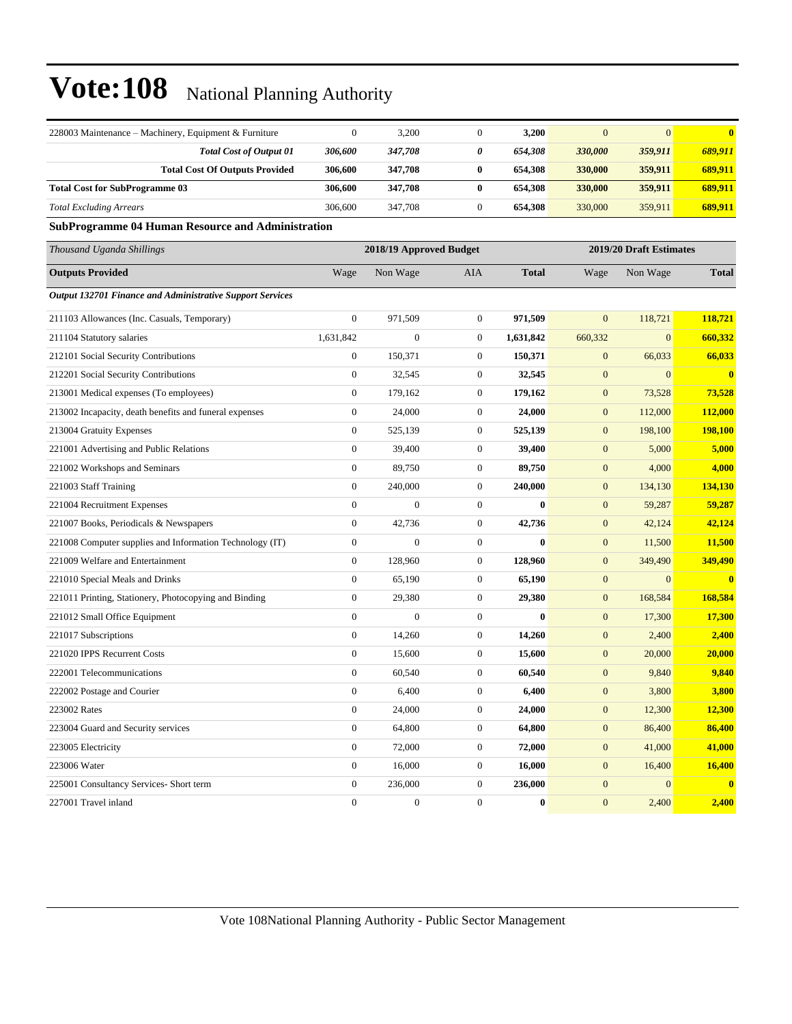| 228003 Maintenance – Machinery, Equipment & Furniture     | $\mathbf{0}$     | 3,200                   | $\overline{0}$   | 3,200        | $\mathbf{0}$     | $\mathbf{0}$            | $\mathbf{0}$            |
|-----------------------------------------------------------|------------------|-------------------------|------------------|--------------|------------------|-------------------------|-------------------------|
| <b>Total Cost of Output 01</b>                            | 306,600          | 347,708                 | 0                | 654,308      | 330,000          | 359,911                 | 689,911                 |
| <b>Total Cost Of Outputs Provided</b>                     | 306,600          | 347,708                 | $\bf{0}$         | 654,308      | 330,000          | 359,911                 | 689,911                 |
| <b>Total Cost for SubProgramme 03</b>                     | 306,600          | 347,708                 | $\bf{0}$         | 654,308      | 330,000          | 359,911                 | 689,911                 |
| <b>Total Excluding Arrears</b>                            | 306,600          | 347,708                 | $\boldsymbol{0}$ | 654,308      | 330,000          | 359,911                 | 689,911                 |
| <b>SubProgramme 04 Human Resource and Administration</b>  |                  |                         |                  |              |                  |                         |                         |
| Thousand Uganda Shillings                                 |                  | 2018/19 Approved Budget |                  |              |                  | 2019/20 Draft Estimates |                         |
| <b>Outputs Provided</b>                                   | Wage             | Non Wage                | AIA              | <b>Total</b> | Wage             | Non Wage                | <b>Total</b>            |
| Output 132701 Finance and Administrative Support Services |                  |                         |                  |              |                  |                         |                         |
| 211103 Allowances (Inc. Casuals, Temporary)               | $\mathbf{0}$     | 971,509                 | $\boldsymbol{0}$ | 971,509      | $\mathbf{0}$     | 118,721                 | 118,721                 |
| 211104 Statutory salaries                                 | 1,631,842        | $\mathbf{0}$            | $\boldsymbol{0}$ | 1,631,842    | 660,332          | $\mathbf{0}$            | 660,332                 |
| 212101 Social Security Contributions                      | $\boldsymbol{0}$ | 150,371                 | 0                | 150,371      | $\mathbf{0}$     | 66,033                  | 66,033                  |
| 212201 Social Security Contributions                      | $\boldsymbol{0}$ | 32,545                  | $\boldsymbol{0}$ | 32,545       | $\boldsymbol{0}$ | $\mathbf{0}$            | $\overline{\mathbf{0}}$ |
| 213001 Medical expenses (To employees)                    | $\boldsymbol{0}$ | 179,162                 | $\boldsymbol{0}$ | 179,162      | $\mathbf{0}$     | 73,528                  | 73,528                  |
| 213002 Incapacity, death benefits and funeral expenses    | $\boldsymbol{0}$ | 24,000                  | $\boldsymbol{0}$ | 24,000       | $\mathbf{0}$     | 112,000                 | 112,000                 |
| 213004 Gratuity Expenses                                  | $\boldsymbol{0}$ | 525,139                 | $\boldsymbol{0}$ | 525,139      | $\mathbf{0}$     | 198,100                 | 198,100                 |
| 221001 Advertising and Public Relations                   | $\boldsymbol{0}$ | 39,400                  | $\boldsymbol{0}$ | 39,400       | $\mathbf{0}$     | 5,000                   | 5,000                   |
| 221002 Workshops and Seminars                             | $\boldsymbol{0}$ | 89,750                  | $\boldsymbol{0}$ | 89,750       | $\mathbf{0}$     | 4,000                   | 4,000                   |
| 221003 Staff Training                                     | $\boldsymbol{0}$ | 240,000                 | $\boldsymbol{0}$ | 240,000      | $\mathbf{0}$     | 134,130                 | 134,130                 |
| 221004 Recruitment Expenses                               | $\mathbf{0}$     | $\mathbf{0}$            | $\boldsymbol{0}$ | $\bf{0}$     | $\mathbf{0}$     | 59,287                  | 59,287                  |
| 221007 Books, Periodicals & Newspapers                    | $\boldsymbol{0}$ | 42,736                  | $\boldsymbol{0}$ | 42,736       | $\mathbf{0}$     | 42,124                  | 42,124                  |
| 221008 Computer supplies and Information Technology (IT)  | $\boldsymbol{0}$ | $\boldsymbol{0}$        | $\boldsymbol{0}$ | $\bf{0}$     | $\mathbf{0}$     | 11,500                  | 11,500                  |
| 221009 Welfare and Entertainment                          | $\boldsymbol{0}$ | 128,960                 | $\boldsymbol{0}$ | 128,960      | $\mathbf{0}$     | 349,490                 | 349,490                 |
| 221010 Special Meals and Drinks                           | $\mathbf{0}$     | 65,190                  | $\boldsymbol{0}$ | 65,190       | $\mathbf{0}$     | $\mathbf{0}$            | $\overline{\mathbf{0}}$ |
| 221011 Printing, Stationery, Photocopying and Binding     | $\boldsymbol{0}$ | 29,380                  | $\boldsymbol{0}$ | 29,380       | $\mathbf{0}$     | 168,584                 | 168,584                 |
| 221012 Small Office Equipment                             | $\mathbf{0}$     | $\boldsymbol{0}$        | $\boldsymbol{0}$ | $\bf{0}$     | $\mathbf{0}$     | 17,300                  | 17,300                  |
| 221017 Subscriptions                                      | $\boldsymbol{0}$ | 14,260                  | $\boldsymbol{0}$ | 14,260       | $\mathbf{0}$     | 2,400                   | 2,400                   |
| 221020 IPPS Recurrent Costs                               | $\boldsymbol{0}$ | 15,600                  | $\boldsymbol{0}$ | 15,600       | $\mathbf{0}$     | 20,000                  | 20,000                  |
| 222001 Telecommunications                                 | $\boldsymbol{0}$ | 60,540                  | $\boldsymbol{0}$ | 60,540       | $\mathbf{0}$     | 9,840                   | 9,840                   |
| 222002 Postage and Courier                                | $\boldsymbol{0}$ | 6,400                   | $\boldsymbol{0}$ | 6,400        | $\mathbf{0}$     | 3,800                   | 3,800                   |
| 223002 Rates                                              | $\overline{0}$   | 24,000                  | $\boldsymbol{0}$ | 24,000       | $\boldsymbol{0}$ | 12,300                  | 12,300                  |
| 223004 Guard and Security services                        | $\mathbf{0}$     | 64,800                  | $\boldsymbol{0}$ | 64,800       | $\mathbf{0}$     | 86,400                  | 86,400                  |
| 223005 Electricity                                        | $\boldsymbol{0}$ | 72,000                  | $\boldsymbol{0}$ | 72,000       | $\mathbf{0}$     | 41,000                  | 41,000                  |
| 223006 Water                                              | $\overline{0}$   | 16,000                  | $\boldsymbol{0}$ | 16,000       | $\mathbf{0}$     | 16,400                  | 16,400                  |
| 225001 Consultancy Services- Short term                   | $\boldsymbol{0}$ | 236,000                 | $\boldsymbol{0}$ | 236,000      | $\boldsymbol{0}$ | $\mathbf{0}$            | $\mathbf{0}$            |
| 227001 Travel inland                                      | $\boldsymbol{0}$ | $\boldsymbol{0}$        | $\boldsymbol{0}$ | $\bf{0}$     | $\boldsymbol{0}$ | 2,400                   | 2,400                   |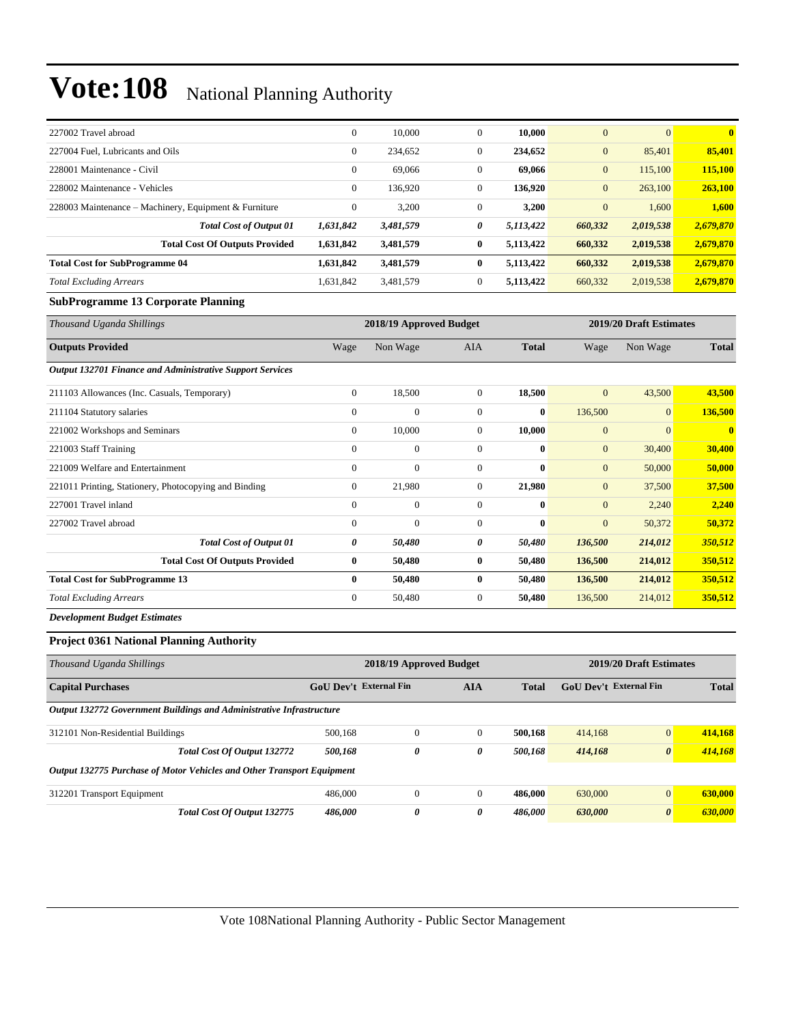| 227002 Travel abroad                                  | $\mathbf{0}$ | 10,000    | $\mathbf{0}$ | 10.000    | $\overline{0}$ | $\overline{0}$ | $\mathbf{0}$ |
|-------------------------------------------------------|--------------|-----------|--------------|-----------|----------------|----------------|--------------|
| 227004 Fuel, Lubricants and Oils                      | $\mathbf{0}$ | 234,652   | $\Omega$     | 234,652   | $\overline{0}$ | 85,401         | 85,401       |
| 228001 Maintenance - Civil                            | $\mathbf{0}$ | 69,066    | $\mathbf{0}$ | 69,066    | $\mathbf{0}$   | 115,100        | 115,100      |
| 228002 Maintenance - Vehicles                         | $\mathbf{0}$ | 136.920   | $\Omega$     | 136,920   | $\mathbf{0}$   | 263,100        | 263,100      |
| 228003 Maintenance – Machinery, Equipment & Furniture | $\mathbf{0}$ | 3,200     | $\mathbf{0}$ | 3,200     | $\overline{0}$ | 1,600          | 1,600        |
| <b>Total Cost of Output 01</b>                        | 1,631,842    | 3,481,579 | 0            | 5,113,422 | 660,332        | 2,019,538      | 2,679,870    |
| <b>Total Cost Of Outputs Provided</b>                 | 1,631,842    | 3,481,579 | 0            | 5,113,422 | 660,332        | 2,019,538      | 2,679,870    |
| <b>Total Cost for SubProgramme 04</b>                 | 1,631,842    | 3,481,579 | 0            | 5,113,422 | 660,332        | 2,019,538      | 2,679,870    |
| <b>Total Excluding Arrears</b>                        | 1,631,842    | 3,481,579 | $\mathbf{0}$ | 5,113,422 | 660,332        | 2,019,538      | 2,679,870    |

#### **SubProgramme 13 Corporate Planning**

| Thousand Uganda Shillings                                 |                | 2018/19 Approved Budget |                |              |                | 2019/20 Draft Estimates |                         |
|-----------------------------------------------------------|----------------|-------------------------|----------------|--------------|----------------|-------------------------|-------------------------|
| <b>Outputs Provided</b>                                   | Wage           | Non Wage                | AIA            | <b>Total</b> | Wage           | Non Wage                | <b>Total</b>            |
| Output 132701 Finance and Administrative Support Services |                |                         |                |              |                |                         |                         |
| 211103 Allowances (Inc. Casuals, Temporary)               | $\overline{0}$ | 18,500                  | $\overline{0}$ | 18,500       | $\mathbf{0}$   | 43,500                  | 43,500                  |
| 211104 Statutory salaries                                 | $\Omega$       | $\mathbf{0}$            | $\mathbf{0}$   | $\bf{0}$     | 136,500        | $\overline{0}$          | 136,500                 |
| 221002 Workshops and Seminars                             | $\overline{0}$ | 10,000                  | $\mathbf{0}$   | 10,000       | $\overline{0}$ | $\overline{0}$          | $\overline{\mathbf{0}}$ |
| 221003 Staff Training                                     | $\mathbf{0}$   | $\boldsymbol{0}$        | $\mathbf{0}$   | $\mathbf{0}$ | $\mathbf{0}$   | 30,400                  | 30,400                  |
| 221009 Welfare and Entertainment                          | $\mathbf{0}$   | $\mathbf{0}$            | $\mathbf{0}$   | $\bf{0}$     | $\mathbf{0}$   | 50,000                  | 50,000                  |
| 221011 Printing, Stationery, Photocopying and Binding     | $\overline{0}$ | 21,980                  | $\mathbf{0}$   | 21,980       | $\overline{0}$ | 37,500                  | 37,500                  |
| 227001 Travel inland                                      | $\mathbf{0}$   | $\mathbf{0}$            | $\mathbf{0}$   | $\bf{0}$     | $\mathbf{0}$   | 2,240                   | 2,240                   |
| 227002 Travel abroad                                      | $\mathbf{0}$   | $\mathbf{0}$            | $\mathbf{0}$   | $\bf{0}$     | $\mathbf{0}$   | 50,372                  | 50,372                  |
| <b>Total Cost of Output 01</b>                            | 0              | 50,480                  | 0              | 50,480       | 136,500        | 214,012                 | 350,512                 |
| <b>Total Cost Of Outputs Provided</b>                     | $\bf{0}$       | 50,480                  | $\bf{0}$       | 50,480       | 136,500        | 214,012                 | 350,512                 |
| <b>Total Cost for SubProgramme 13</b>                     | $\bf{0}$       | 50,480                  | $\bf{0}$       | 50,480       | 136,500        | 214,012                 | 350,512                 |
| <b>Total Excluding Arrears</b>                            | $\mathbf{0}$   | 50,480                  | $\mathbf{0}$   | 50,480       | 136,500        | 214,012                 | 350,512                 |
| _ _ _ _ _ _                                               |                |                         |                |              |                |                         |                         |

*Development Budget Estimates*

#### **Project 0361 National Planning Authority**

| Thousand Uganda Shillings                                              | 2019/20 Draft Estimates<br>2018/19 Approved Budget |                                                      |          |         |         |                       |         |  |
|------------------------------------------------------------------------|----------------------------------------------------|------------------------------------------------------|----------|---------|---------|-----------------------|---------|--|
| <b>Capital Purchases</b>                                               | <b>GoU</b> Dev't External Fin                      | <b>AIA</b><br>GoU Dev't External Fin<br><b>Total</b> |          |         |         | <b>Total</b>          |         |  |
| Output 132772 Government Buildings and Administrative Infrastructure   |                                                    |                                                      |          |         |         |                       |         |  |
| 312101 Non-Residential Buildings                                       | 500,168                                            | $\overline{0}$                                       | $\Omega$ | 500,168 | 414,168 | $\overline{0}$        | 414,168 |  |
| Total Cost Of Output 132772                                            | 500,168                                            | 0                                                    | 0        | 500,168 | 414,168 | $\boldsymbol{\theta}$ | 414,168 |  |
| Output 132775 Purchase of Motor Vehicles and Other Transport Equipment |                                                    |                                                      |          |         |         |                       |         |  |
| 312201 Transport Equipment                                             | 486,000                                            | $\Omega$                                             | $\Omega$ | 486,000 | 630,000 | $\overline{0}$        | 630,000 |  |
| Total Cost Of Output 132775                                            | 486.000                                            | 0                                                    | 0        | 486,000 | 630,000 | $\boldsymbol{\theta}$ | 630,000 |  |